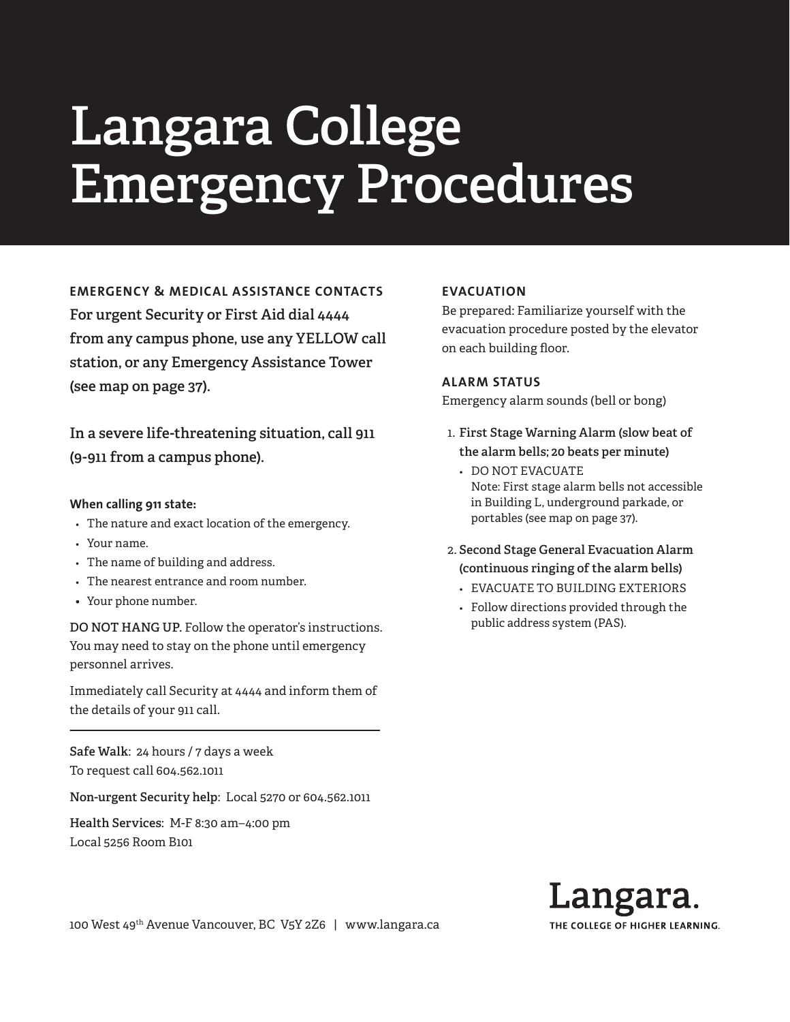# **Langara College Emergency Procedures**

**EMERGENCY & MEDICAL ASSISTANCE CONTACTS For urgent Security or First Aid dial 4444 from any campus phone, use any YELLOW call station, or any Emergency Assistance Tower (see map on page 37).**

**In a severe life-threatening situation, call 911 (9-911 from a campus phone).**

### **When calling 911 state:**

- *•* The nature and exact location of the emergency.
- *•* Your name.
- *•* The name of building and address.
- *•* The nearest entrance and room number.
- Your phone number.

**DO NOT HANG UP.** Follow the operator's instructions. You may need to stay on the phone until emergency personnel arrives.

Immediately call Security at 4444 and inform them of the details of your 911 call.

**Safe Walk**: 24 hours / 7 days a week To request call 604.562.1011

**Non-urgent Security help**: Local 5270 or 604.562.1011

**Health Services**: M-F 8:30 am–4:00 pm Local 5256 Room B101

### **EVACUATION**

Be prepared: Familiarize yourself with the evacuation procedure posted by the elevator on each building floor.

### **ALARM STATUS**

Emergency alarm sounds (bell or bong)

- 1. **First Stage Warning Alarm (slow beat of the alarm bells; 20 beats per minute)**
	- *•* DO NOT EVACUATE Note: First stage alarm bells not accessible in Building L, underground parkade, or portables (see map on page 37).
- 2. **Second Stage General Evacuation Alarm (continuous ringing of the alarm bells)**
	- *•* EVACUATE TO BUILDING EXTERIORS
	- *•* Follow directions provided through the public address system (PAS).



100 West 49th Avenue Vancouver, BC V5Y 2Z6 | www.langara.ca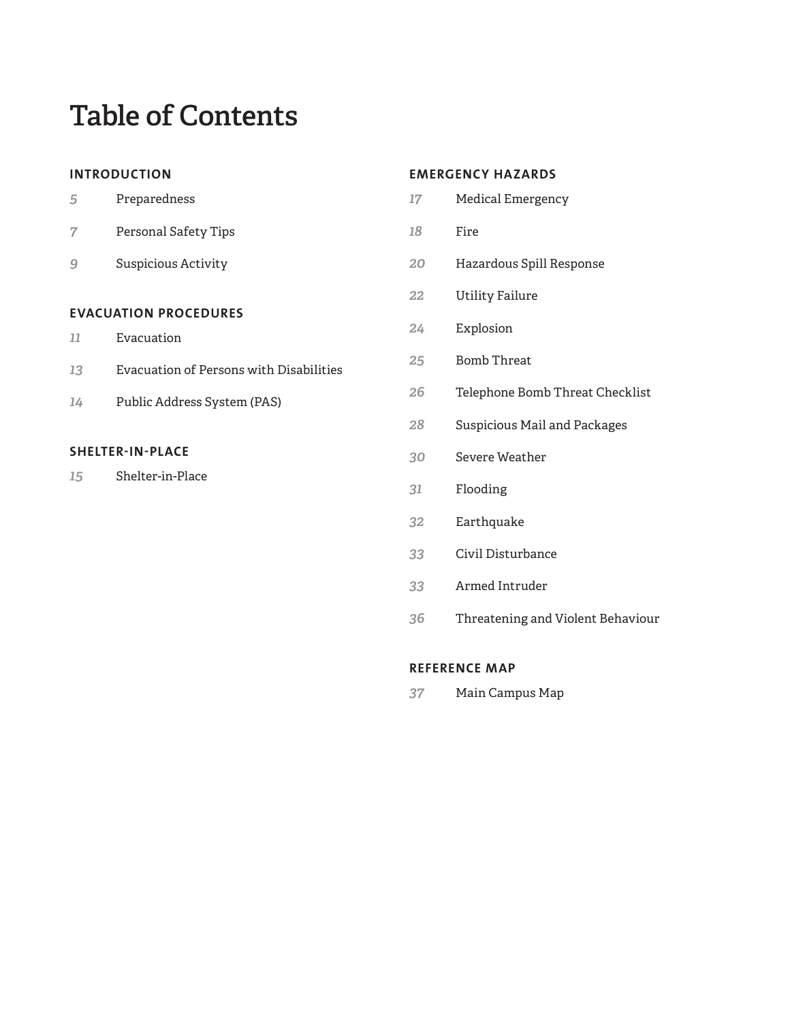# **Table of Contents**

### **INTRODUCTION**

|                              | Preparedness                            |  |
|------------------------------|-----------------------------------------|--|
|                              | Personal Safety Tips                    |  |
|                              | Suspicious Activity                     |  |
|                              |                                         |  |
| <b>EVACUATION PROCEDURES</b> |                                         |  |
| 77                           | Evacuation                              |  |
| 13                           | Evacuation of Persons with Disabilities |  |
|                              |                                         |  |

Public Address System (PAS)

### **SHELTER-IN-PLACE**

Shelter-in-Place

### **EMERGENCY HAZARDS**

- Medical Emergency
- Fire
- Hazardous Spill Response
- Utility Failure
- Explosion
- Bomb Threat
- Telephone Bomb Threat Checklist
- Suspicious Mail and Packages
- Severe Weather
- Flooding
- Earthquake
- Civil Disturbance
- Armed Intruder
- Threatening and Violent Behaviour

### **REFERENCE MAP**

Main Campus Map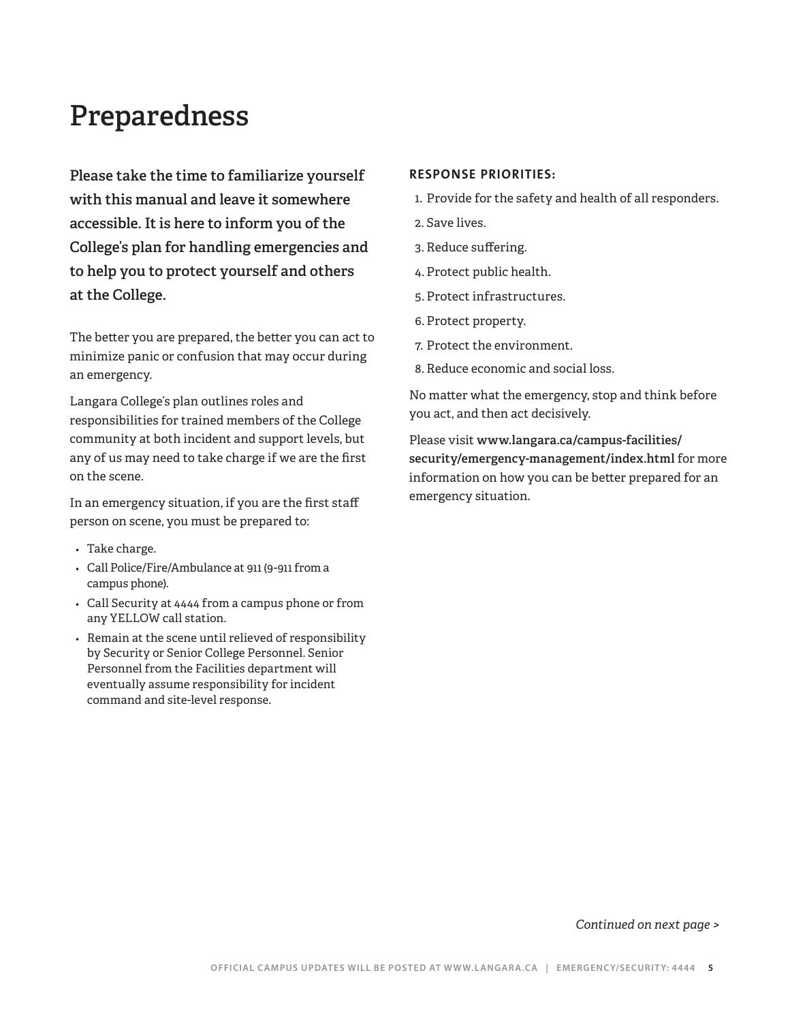# **Preparedness**

**Please take the time to familiarize yourself with this manual and leave it somewhere accessible. It is here to inform you of the College's plan for handling emergencies and to help you to protect yourself and others at the College.**

The better you are prepared, the better you can act to minimize panic or confusion that may occur during an emergency.

Langara College's plan outlines roles and responsibilities for trained members of the College community at both incident and support levels, but any of us may need to take charge if we are the first on the scene.

In an emergency situation, if you are the first staff person on scene, you must be prepared to:

- *•* Take charge.
- *•* Call Police/Fire/Ambulance at 911 (9-911 from a campus phone).
- *•* Call Security at 4444 from a campus phone or from any YELLOW call station.
- *•* Remain at the scene until relieved of responsibility by Security or Senior College Personnel. Senior Personnel from the Facilities department will eventually assume responsibility for incident command and site-level response.

### **RESPONSE PRIORITIES:**

- 1. Provide for the safety and health of all responders.
- 2. Save lives.
- 3. Reduce suffering.
- 4. Protect public health.
- 5. Protect infrastructures.
- 6. Protect property.
- 7. Protect the environment.
- 8. Reduce economic and social loss.

No matter what the emergency, stop and think before you act, and then act decisively.

Please visit **www.langara.ca/campus-facilities/ security/emergency-management/index.html** for more information on how you can be better prepared for an emergency situation.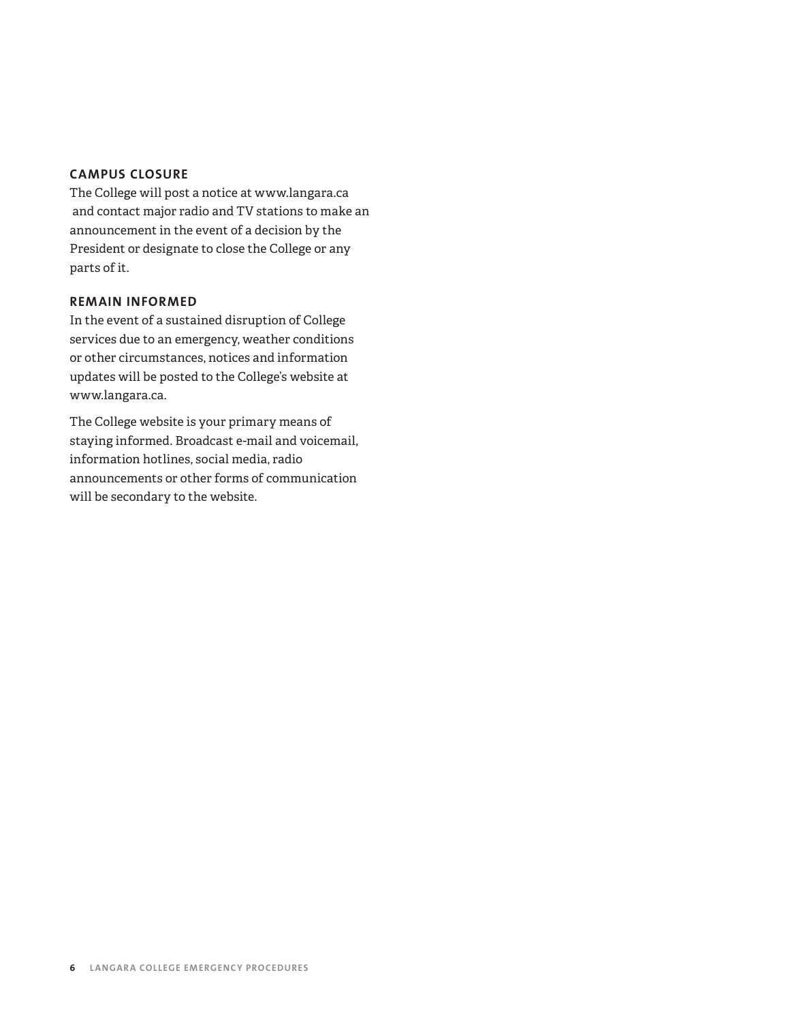### **CAMPUS CLOSURE**

The College will post a notice at www.langara.ca and contact major radio and TV stations to make an announcement in the event of a decision by the President or designate to close the College or any parts of it.

### **REMAIN INFORMED**

In the event of a sustained disruption of College services due to an emergency, weather conditions or other circumstances, notices and information updates will be posted to the College's website at www.langara.ca.

The College website is your primary means of staying informed. Broadcast e-mail and voicemail, information hotlines, social media, radio announcements or other forms of communication will be secondary to the website.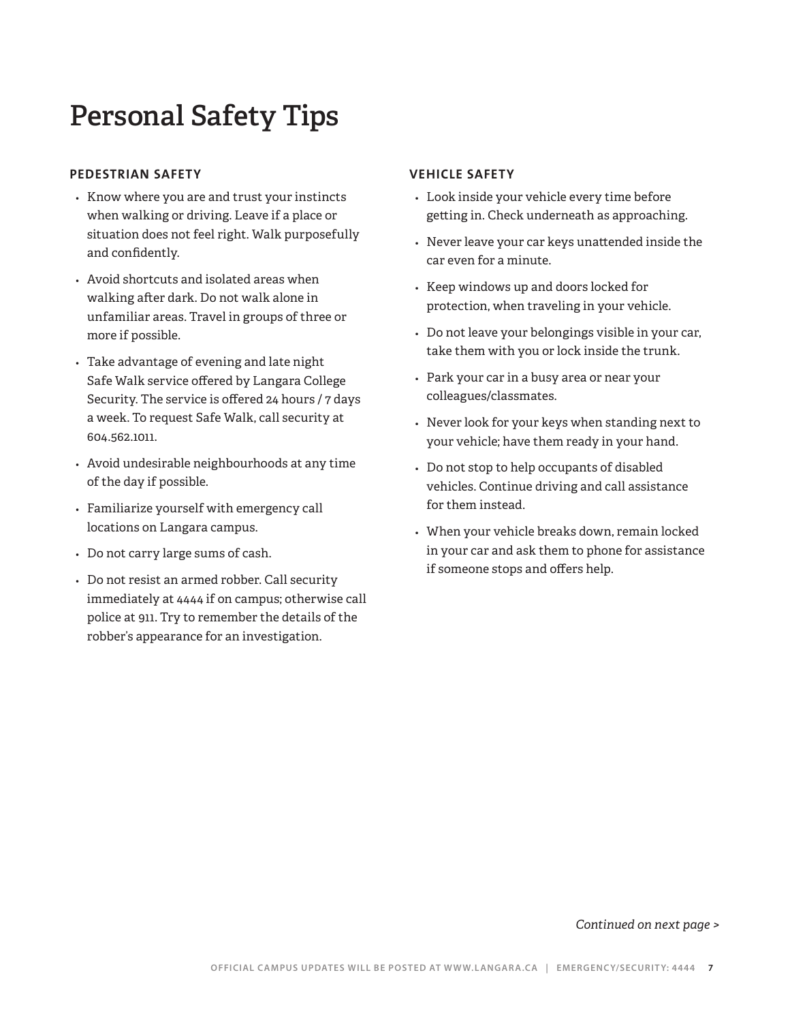# **Personal Safety Tips**

### **PEDESTRIAN SAFETY**

- *•* Know where you are and trust your instincts when walking or driving. Leave if a place or situation does not feel right. Walk purposefully and confidently.
- *•* Avoid shortcuts and isolated areas when walking after dark. Do not walk alone in unfamiliar areas. Travel in groups of three or more if possible.
- *•* Take advantage of evening and late night Safe Walk service offered by Langara College Security. The service is offered 24 hours / 7 days a week. To request Safe Walk, call security at 604.562.1011.
- *•* Avoid undesirable neighbourhoods at any time of the day if possible.
- *•* Familiarize yourself with emergency call locations on Langara campus.
- *•* Do not carry large sums of cash.
- *•* Do not resist an armed robber. Call security immediately at 4444 if on campus; otherwise call police at 911. Try to remember the details of the robber's appearance for an investigation.

### **VEHICLE SAFETY**

- *•* Look inside your vehicle every time before getting in. Check underneath as approaching.
- *•* Never leave your car keys unattended inside the car even for a minute.
- *•* Keep windows up and doors locked for protection, when traveling in your vehicle.
- *•* Do not leave your belongings visible in your car, take them with you or lock inside the trunk.
- *•* Park your car in a busy area or near your colleagues/classmates.
- *•* Never look for your keys when standing next to your vehicle; have them ready in your hand.
- *•* Do not stop to help occupants of disabled vehicles. Continue driving and call assistance for them instead.
- *•* When your vehicle breaks down, remain locked in your car and ask them to phone for assistance if someone stops and offers help.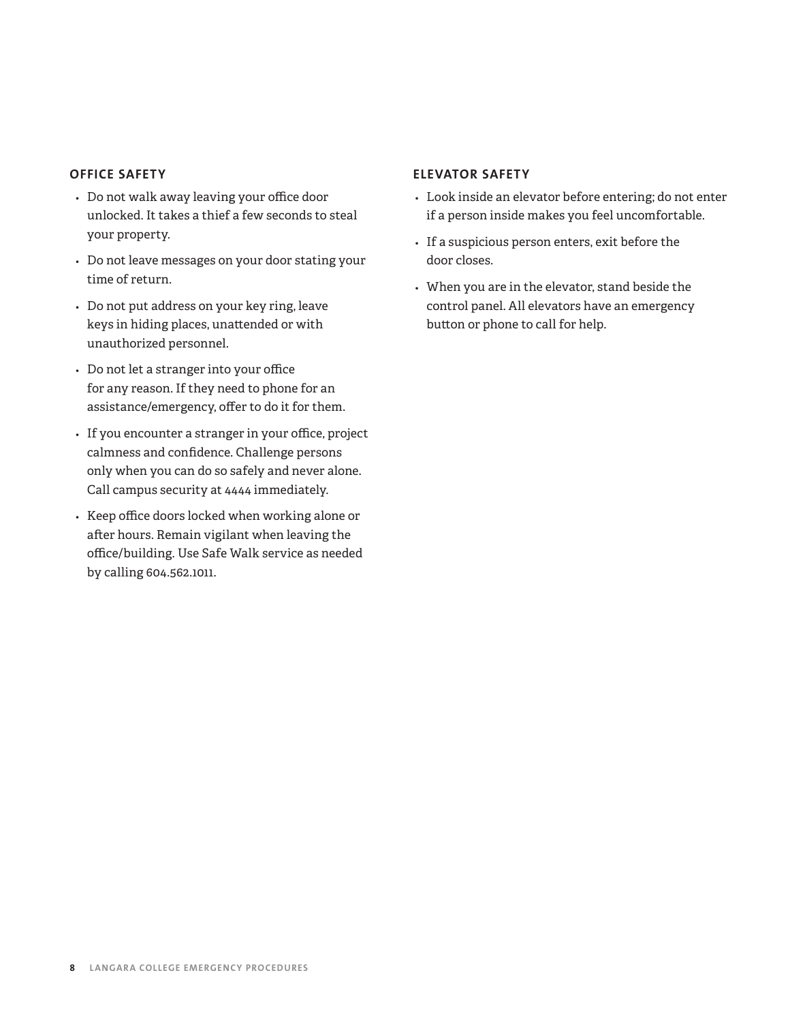### **OFFICE SAFETY**

- *•* Do not walk away leaving your office door unlocked. It takes a thief a few seconds to steal your property.
- *•* Do not leave messages on your door stating your time of return.
- *•* Do not put address on your key ring, leave keys in hiding places, unattended or with unauthorized personnel.
- *•* Do not let a stranger into your office for any reason. If they need to phone for an assistance/emergency, offer to do it for them.
- *•* If you encounter a stranger in your office, project calmness and confidence. Challenge persons only when you can do so safely and never alone. Call campus security at 4444 immediately.
- *•* Keep office doors locked when working alone or after hours. Remain vigilant when leaving the office/building. Use Safe Walk service as needed by calling 604.562.1011.

### **ELEVATOR SAFETY**

- *•* Look inside an elevator before entering; do not enter if a person inside makes you feel uncomfortable.
- *•* If a suspicious person enters, exit before the door closes.
- *•* When you are in the elevator, stand beside the control panel. All elevators have an emergency button or phone to call for help.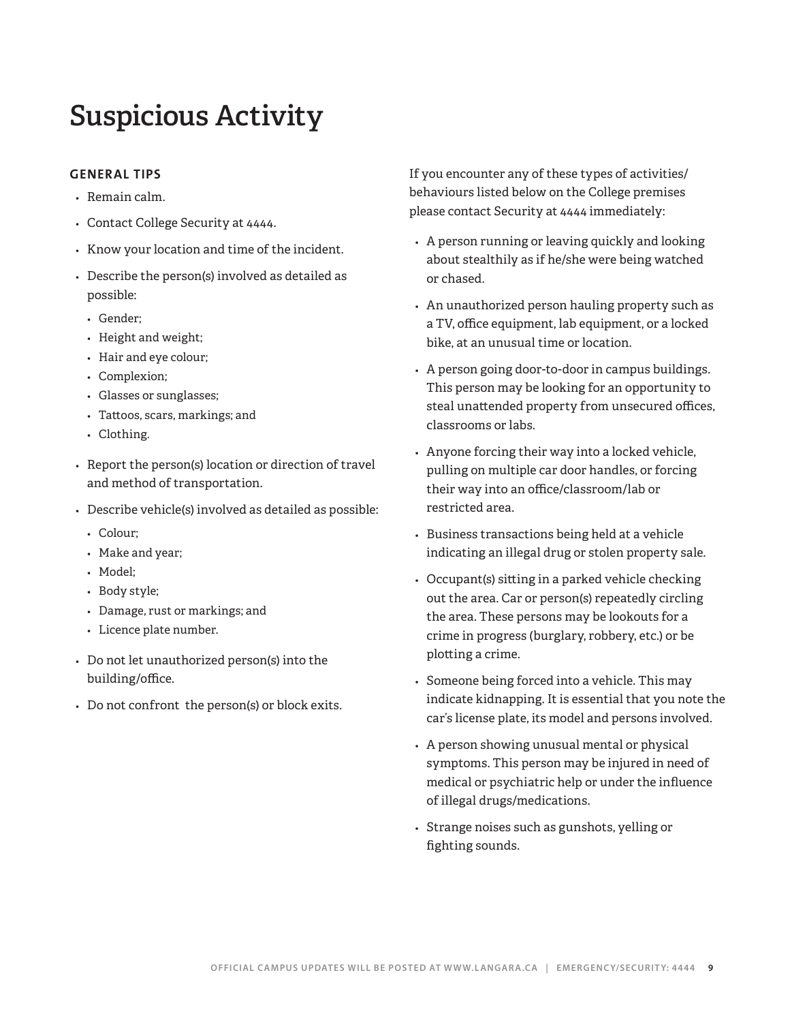# **Suspicious Activity**

### **GENERAL TIPS**

- *•* Remain calm.
- *•* Contact College Security at 4444.
- *•* Know your location and time of the incident.
- *•* Describe the person(s) involved as detailed as possible:
	- *•* Gender;
	- *•* Height and weight;
	- *•* Hair and eye colour;
	- *•* Complexion;
	- *•* Glasses or sunglasses;
	- *•* Tattoos, scars, markings; and
	- *•* Clothing.
- *•* Report the person(s) location or direction of travel and method of transportation.
- *•* Describe vehicle(s) involved as detailed as possible:
	- *•* Colour;
	- *•* Make and year;
	- *•* Model;
	- *•* Body style;
	- *•* Damage, rust or markings; and
	- *•* Licence plate number.
- *•* Do not let unauthorized person(s) into the building/office.
- *•* Do not confront the person(s) or block exits.

If you encounter any of these types of activities/ behaviours listed below on the College premises please contact Security at 4444 immediately:

- *•* A person running or leaving quickly and looking about stealthily as if he/she were being watched or chased.
- *•* An unauthorized person hauling property such as a TV, office equipment, lab equipment, or a locked bike, at an unusual time or location.
- *•* A person going door-to-door in campus buildings. This person may be looking for an opportunity to steal unattended property from unsecured offices, classrooms or labs.
- *•* Anyone forcing their way into a locked vehicle, pulling on multiple car door handles, or forcing their way into an office/classroom/lab or restricted area.
- *•* Business transactions being held at a vehicle indicating an illegal drug or stolen property sale.
- *•* Occupant(s) sitting in a parked vehicle checking out the area. Car or person(s) repeatedly circling the area. These persons may be lookouts for a crime in progress (burglary, robbery, etc.) or be plotting a crime.
- *•* Someone being forced into a vehicle. This may indicate kidnapping. It is essential that you note the car's license plate, its model and persons involved.
- *•* A person showing unusual mental or physical symptoms. This person may be injured in need of medical or psychiatric help or under the influence of illegal drugs/medications.
- *•* Strange noises such as gunshots, yelling or fighting sounds.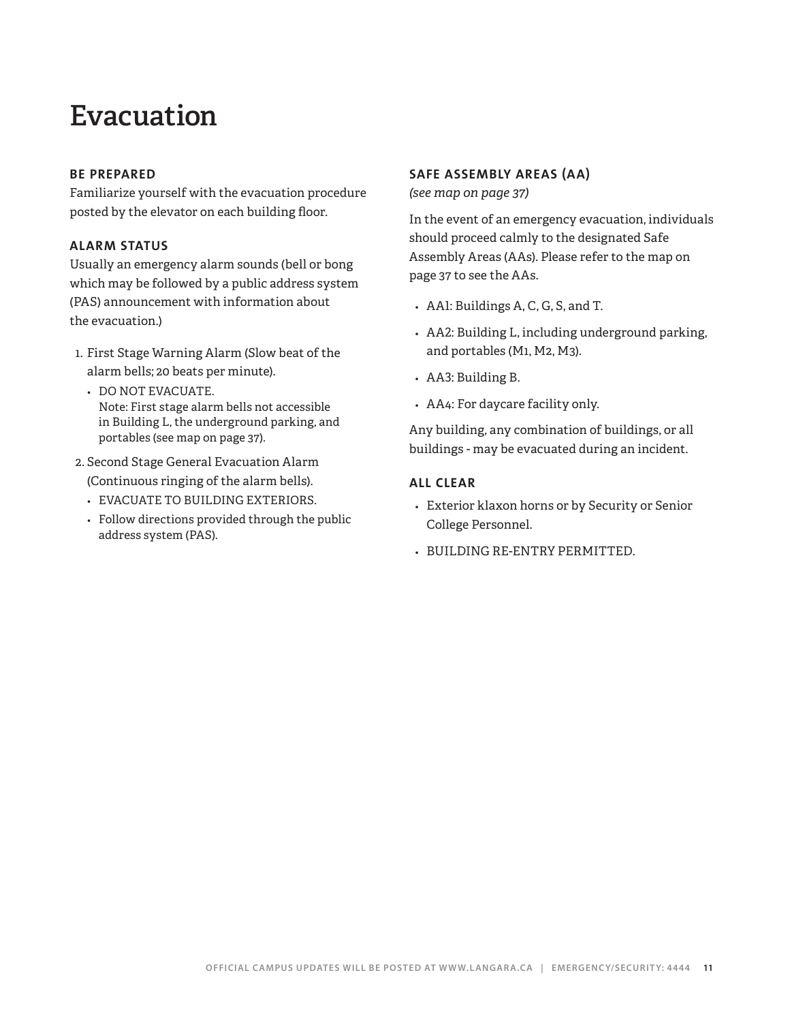# **Evacuation**

### **BE PREPARED**

Familiarize yourself with the evacuation procedure posted by the elevator on each building floor.

### **ALARM STATUS**

Usually an emergency alarm sounds (bell or bong which may be followed by a public address system (PAS) announcement with information about the evacuation.)

- 1. First Stage Warning Alarm (Slow beat of the alarm bells; 20 beats per minute).
	- *•* DO NOT EVACUATE. Note: First stage alarm bells not accessible in Building L, the underground parking, and portables (see map on page 37).
- 2. Second Stage General Evacuation Alarm (Continuous ringing of the alarm bells).
	- *•* EVACUATE TO BUILDING EXTERIORS.
	- *•* Follow directions provided through the public address system (PAS).

### **SAFE ASSEMBLY AREAS (AA)**

*(see map on page 37)*

In the event of an emergency evacuation, individuals should proceed calmly to the designated Safe Assembly Areas (AAs). Please refer to the map on page 37 to see the AAs.

- *•* AA1: Buildings A, C, G, S, and T.
- *•* AA2: Building L, including underground parking, and portables (M1, M2, M3).
- *•* AA3: Building B.
- *•* AA4: For daycare facility only.

Any building, any combination of buildings, or all buildings - may be evacuated during an incident.

### **ALL CLEAR**

- *•* Exterior klaxon horns or by Security or Senior College Personnel.
- *•* BUILDING RE-ENTRY PERMITTED.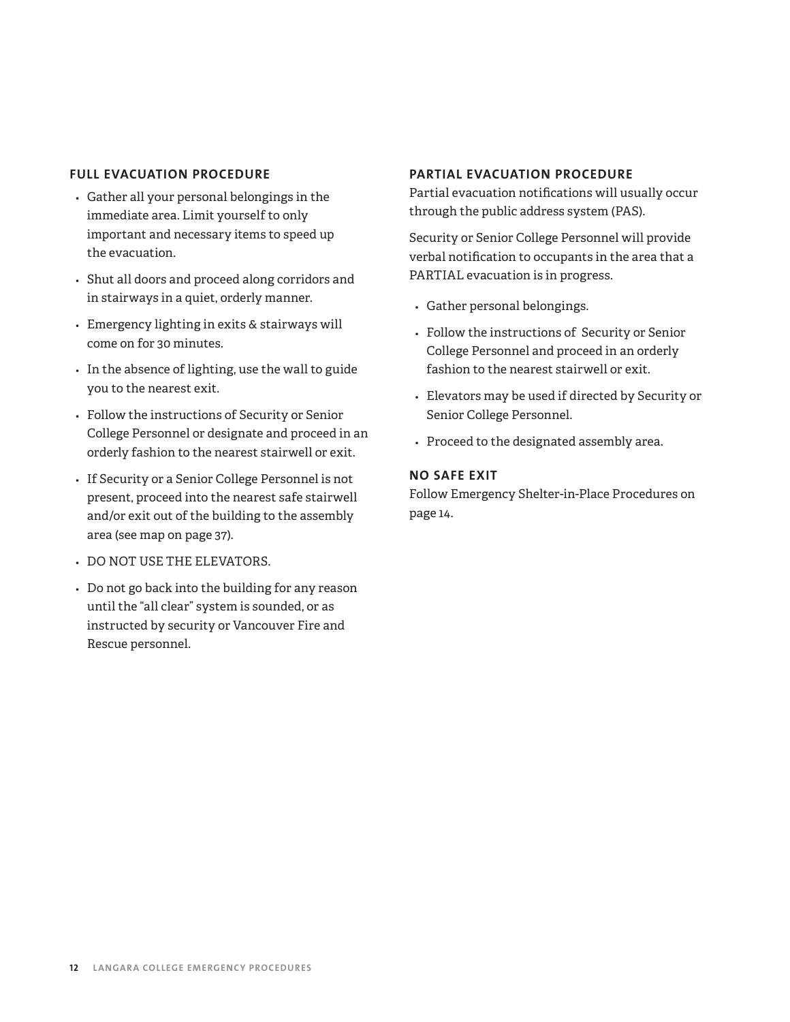### **FULL EVACUATION PROCEDURE**

- *•* Gather all your personal belongings in the immediate area. Limit yourself to only important and necessary items to speed up the evacuation.
- *•* Shut all doors and proceed along corridors and in stairways in a quiet, orderly manner.
- *•* Emergency lighting in exits & stairways will come on for 30 minutes.
- *•* In the absence of lighting, use the wall to guide you to the nearest exit.
- *•* Follow the instructions of Security or Senior College Personnel or designate and proceed in an orderly fashion to the nearest stairwell or exit.
- *•* If Security or a Senior College Personnel is not present, proceed into the nearest safe stairwell and/or exit out of the building to the assembly area (see map on page 37).
- *•* DO NOT USE THE ELEVATORS.
- *•* Do not go back into the building for any reason until the "all clear" system is sounded, or as instructed by security or Vancouver Fire and Rescue personnel.

### **PARTIAL EVACUATION PROCEDURE**

Partial evacuation notifications will usually occur through the public address system (PAS).

Security or Senior College Personnel will provide verbal notification to occupants in the area that a PARTIAL evacuation is in progress.

- *•* Gather personal belongings.
- *•* Follow the instructions of Security or Senior College Personnel and proceed in an orderly fashion to the nearest stairwell or exit.
- *•* Elevators may be used if directed by Security or Senior College Personnel.
- *•* Proceed to the designated assembly area.

### **NO SAFE EXIT**

Follow Emergency Shelter-in-Place Procedures on page 14.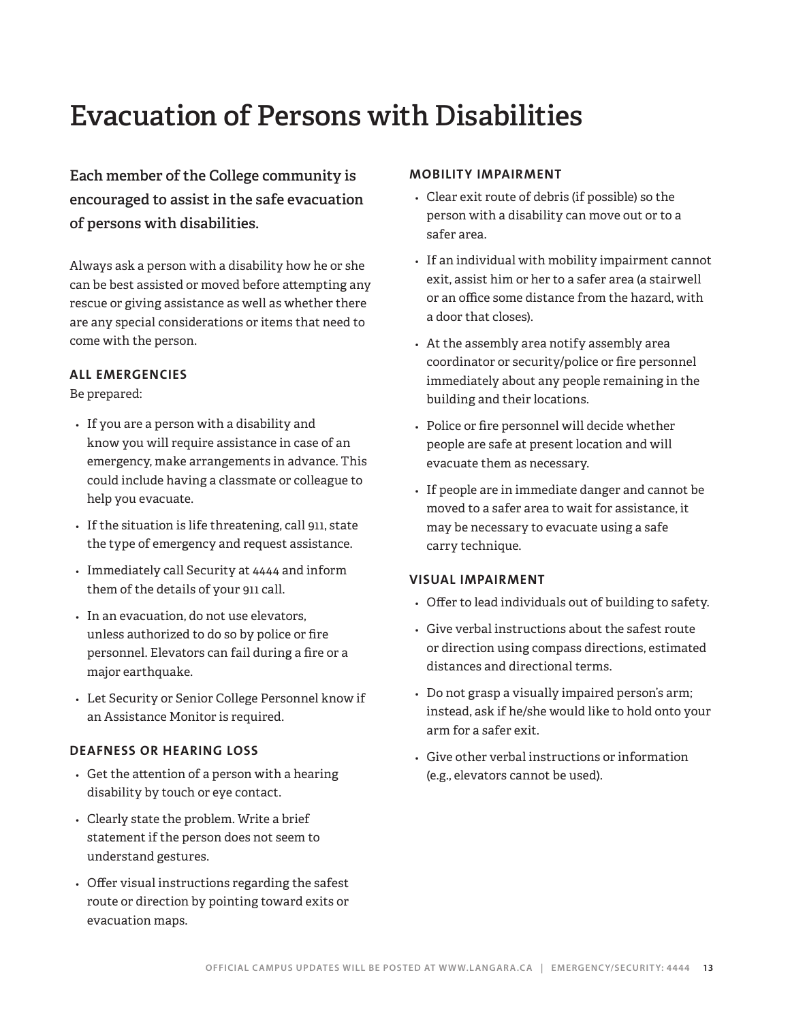# **Evacuation of Persons with Disabilities**

**Each member of the College community is encouraged to assist in the safe evacuation of persons with disabilities.** 

Always ask a person with a disability how he or she can be best assisted or moved before attempting any rescue or giving assistance as well as whether there are any special considerations or items that need to come with the person.

### **ALL EMERGENCIES**

### Be prepared:

- *•* If you are a person with a disability and know you will require assistance in case of an emergency, make arrangements in advance. This could include having a classmate or colleague to help you evacuate.
- *•* If the situation is life threatening, call 911, state the type of emergency and request assistance.
- *•* Immediately call Security at 4444 and inform them of the details of your 911 call.
- *•* In an evacuation, do not use elevators, unless authorized to do so by police or fire personnel. Elevators can fail during a fire or a major earthquake.
- *•* Let Security or Senior College Personnel know if an Assistance Monitor is required.

### **DEAFNESS OR HEARING LOSS**

- *•* Get the attention of a person with a hearing disability by touch or eye contact.
- *•* Clearly state the problem. Write a brief statement if the person does not seem to understand gestures.
- *•* Offer visual instructions regarding the safest route or direction by pointing toward exits or evacuation maps.

### **MOBILITY IMPAIRMENT**

- *•* Clear exit route of debris (if possible) so the person with a disability can move out or to a safer area.
- *•* If an individual with mobility impairment cannot exit, assist him or her to a safer area (a stairwell or an office some distance from the hazard, with a door that closes).
- *•* At the assembly area notify assembly area coordinator or security/police or fire personnel immediately about any people remaining in the building and their locations.
- *•* Police or fire personnel will decide whether people are safe at present location and will evacuate them as necessary.
- *•* If people are in immediate danger and cannot be moved to a safer area to wait for assistance, it may be necessary to evacuate using a safe carry technique.

### **VISUAL IMPAIRMENT**

- *•* Offer to lead individuals out of building to safety.
- *•* Give verbal instructions about the safest route or direction using compass directions, estimated distances and directional terms.
- *•* Do not grasp a visually impaired person's arm; instead, ask if he/she would like to hold onto your arm for a safer exit.
- *•* Give other verbal instructions or information (e.g., elevators cannot be used).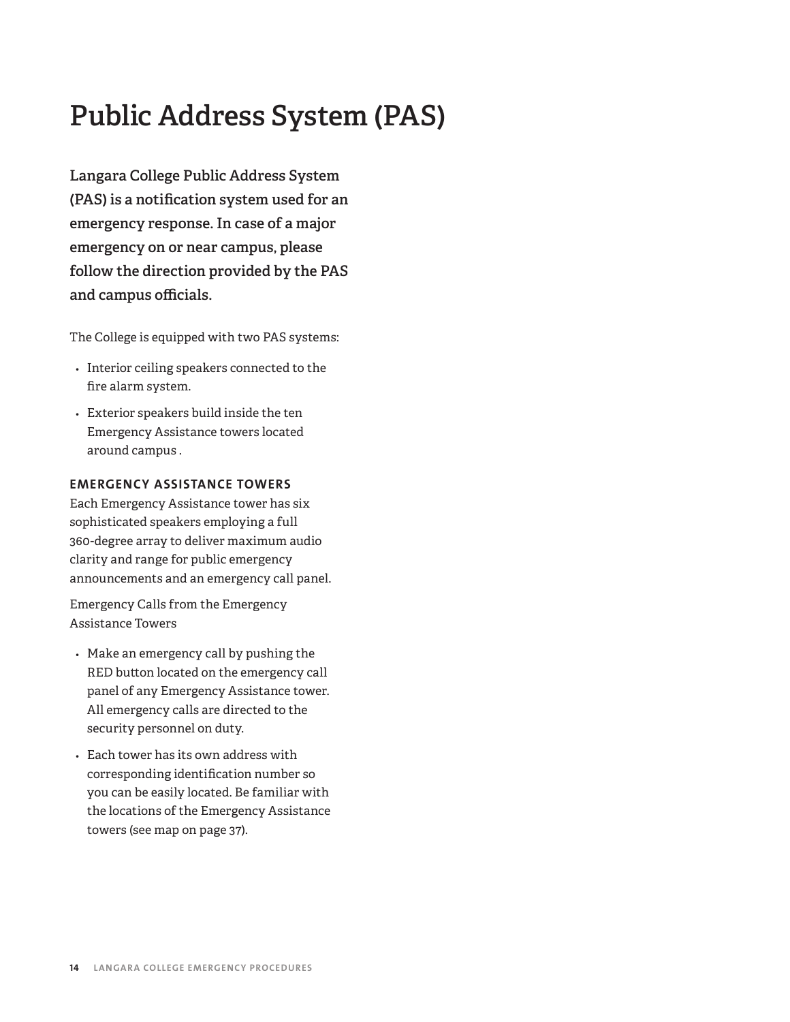# **Public Address System (PAS)**

**Langara College Public Address System (PAS) is a notification system used for an emergency response. In case of a major emergency on or near campus, please follow the direction provided by the PAS and campus officials.** 

The College is equipped with two PAS systems:

- *•* Interior ceiling speakers connected to the fire alarm system.
- *•* Exterior speakers build inside the ten Emergency Assistance towers located around campus .

### **EMERGENCY ASSISTANCE TOWERS**

Each Emergency Assistance tower has six sophisticated speakers employing a full 360-degree array to deliver maximum audio clarity and range for public emergency announcements and an emergency call panel.

Emergency Calls from the Emergency Assistance Towers

- *•* Make an emergency call by pushing the RED button located on the emergency call panel of any Emergency Assistance tower. All emergency calls are directed to the security personnel on duty.
- *•* Each tower has its own address with corresponding identification number so you can be easily located. Be familiar with the locations of the Emergency Assistance towers (see map on page 37).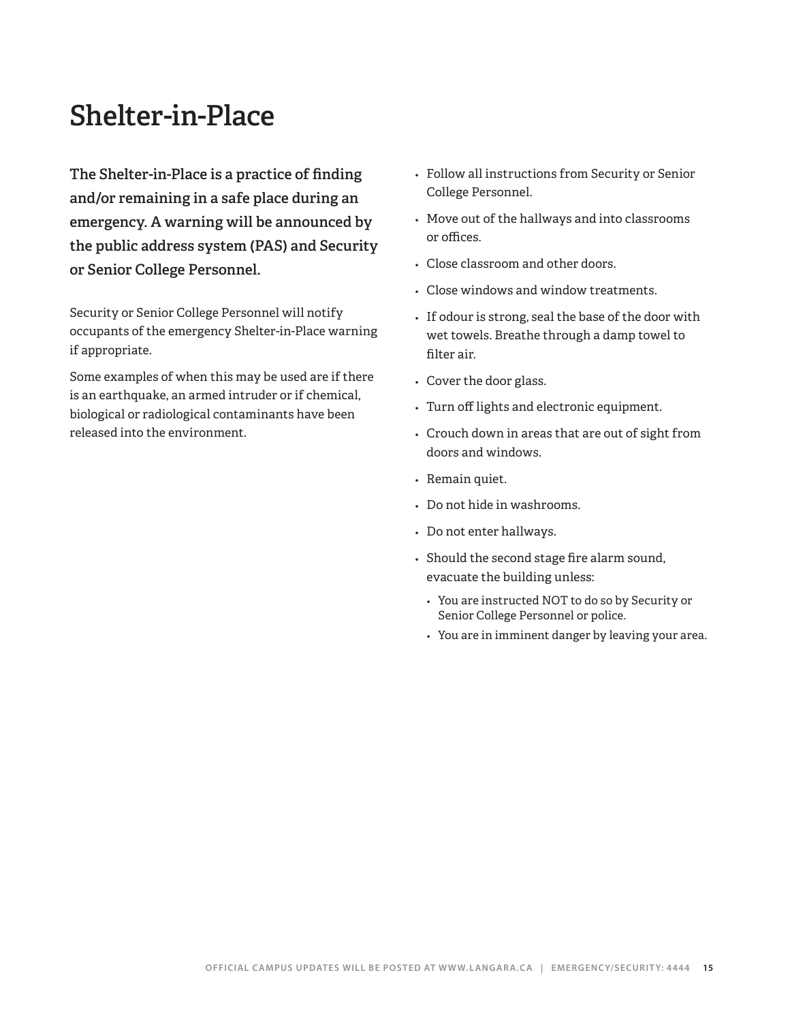# **Shelter-in-Place**

**The Shelter-in-Place is a practice of finding and/or remaining in a safe place during an emergency. A warning will be announced by the public address system (PAS) and Security or Senior College Personnel.** 

Security or Senior College Personnel will notify occupants of the emergency Shelter-in-Place warning if appropriate.

Some examples of when this may be used are if there is an earthquake, an armed intruder or if chemical, biological or radiological contaminants have been released into the environment.

- *•* Follow all instructions from Security or Senior College Personnel.
- *•* Move out of the hallways and into classrooms or offices.
- *•* Close classroom and other doors.
- *•* Close windows and window treatments.
- *•* If odour is strong, seal the base of the door with wet towels. Breathe through a damp towel to filter air.
- *•* Cover the door glass.
- *•* Turn off lights and electronic equipment.
- *•* Crouch down in areas that are out of sight from doors and windows.
- *•* Remain quiet.
- *•* Do not hide in washrooms.
- *•* Do not enter hallways.
- *•* Should the second stage fire alarm sound, evacuate the building unless:
	- *•* You are instructed NOT to do so by Security or Senior College Personnel or police.
	- *•* You are in imminent danger by leaving your area.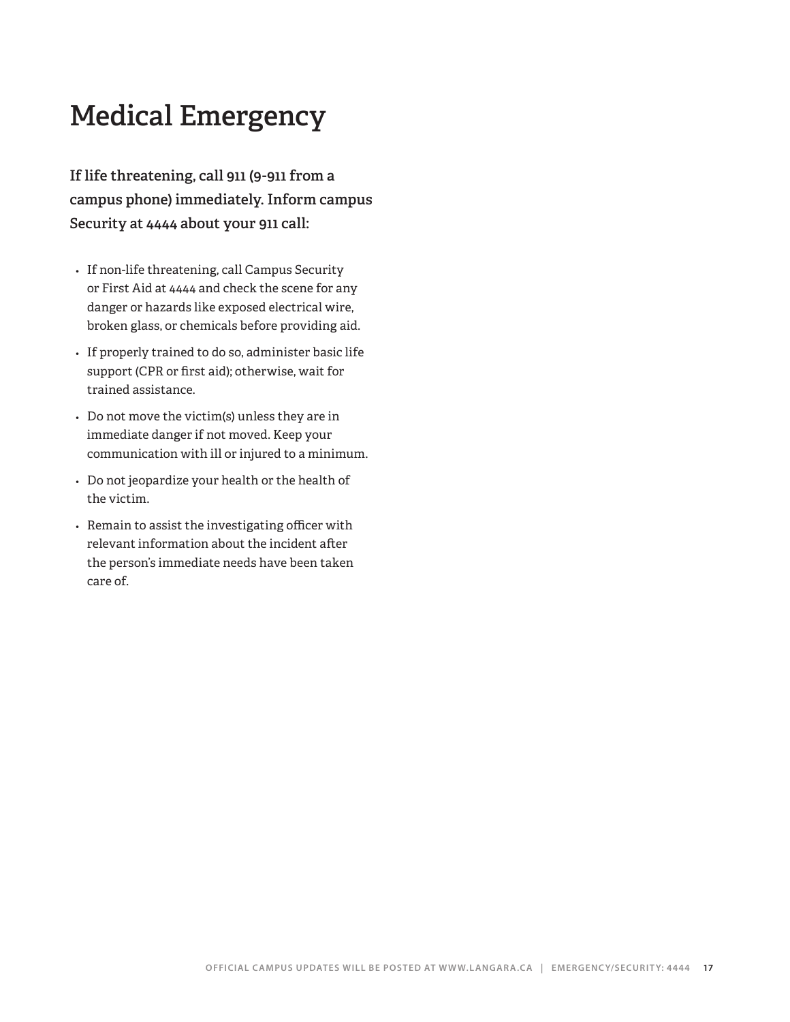# **Medical Emergency**

**If life threatening, call 911 (9-911 from a campus phone) immediately. Inform campus Security at 4444 about your 911 call:**

- *•* If non-life threatening, call Campus Security or First Aid at 4444 and check the scene for any danger or hazards like exposed electrical wire, broken glass, or chemicals before providing aid.
- *•* If properly trained to do so, administer basic life support (CPR or first aid); otherwise, wait for trained assistance.
- *•* Do not move the victim(s) unless they are in immediate danger if not moved. Keep your communication with ill or injured to a minimum.
- *•* Do not jeopardize your health or the health of the victim.
- *•* Remain to assist the investigating officer with relevant information about the incident after the person's immediate needs have been taken care of.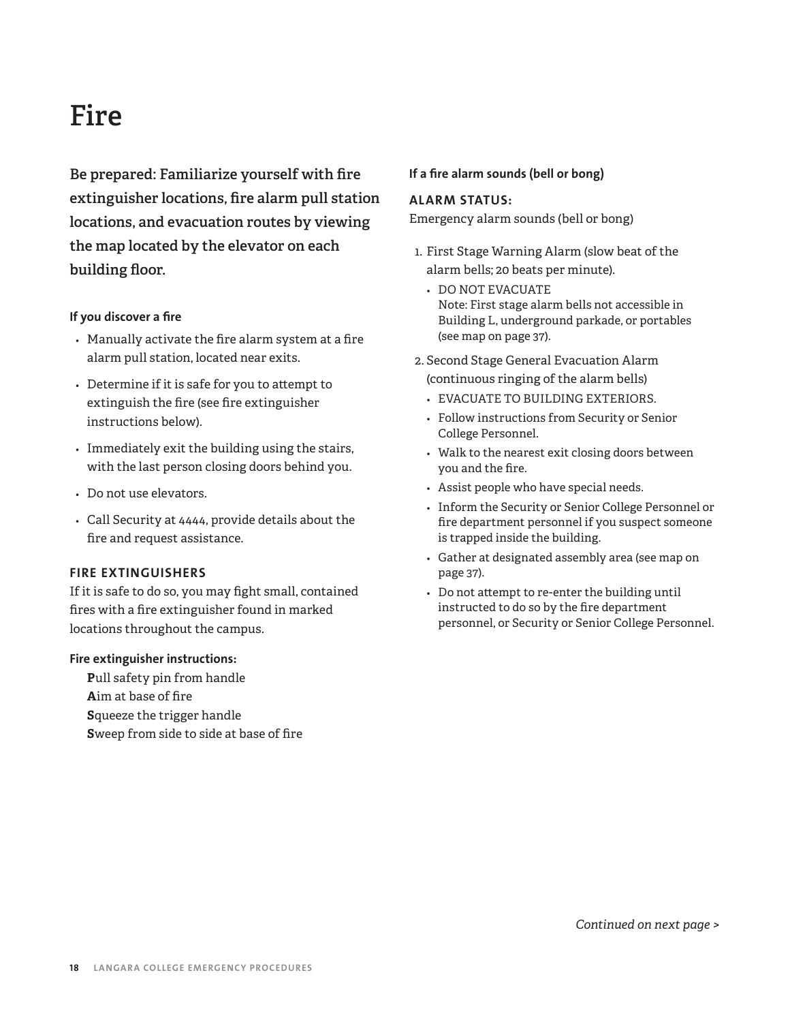# **Fire**

**Be prepared: Familiarize yourself with fire extinguisher locations, fire alarm pull station locations, and evacuation routes by viewing the map located by the elevator on each building floor.**

### **If you discover a fire**

- *•* Manually activate the fire alarm system at a fire alarm pull station, located near exits.
- *•* Determine if it is safe for you to attempt to extinguish the fire (see fire extinguisher instructions below).
- *•* Immediately exit the building using the stairs, with the last person closing doors behind you.
- *•* Do not use elevators.
- *•* Call Security at 4444, provide details about the fire and request assistance.

### **FIRE EXTINGUISHERS**

If it is safe to do so, you may fight small, contained fires with a fire extinguisher found in marked locations throughout the campus.

### **Fire extinguisher instructions:**

**P**ull safety pin from handle **A**im at base of fire **S**queeze the trigger handle **S**weep from side to side at base of fire

### **If a fire alarm sounds (bell or bong)**

### **ALARM STATUS:**

Emergency alarm sounds (bell or bong)

- 1. First Stage Warning Alarm (slow beat of the alarm bells; 20 beats per minute).
	- *•* DO NOT EVACUATE Note: First stage alarm bells not accessible in Building L, underground parkade, or portables (see map on page 37).
- 2. Second Stage General Evacuation Alarm (continuous ringing of the alarm bells)
	- *•* EVACUATE TO BUILDING EXTERIORS.
	- *•* Follow instructions from Security or Senior College Personnel.
	- *•* Walk to the nearest exit closing doors between you and the fire.
	- *•* Assist people who have special needs.
	- *•* Inform the Security or Senior College Personnel or fire department personnel if you suspect someone is trapped inside the building.
	- *•* Gather at designated assembly area (see map on page 37).
	- *•* Do not attempt to re-enter the building until instructed to do so by the fire department personnel, or Security or Senior College Personnel.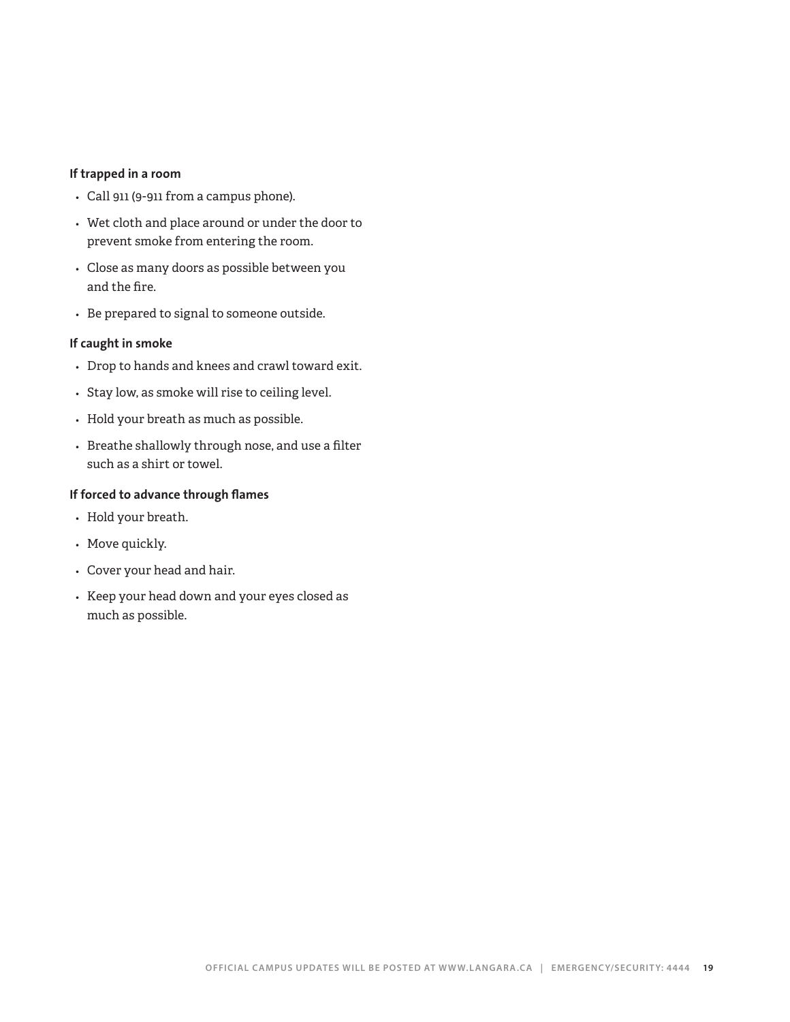### **If trapped in a room**

- *•* Call 911 (9-911 from a campus phone).
- *•* Wet cloth and place around or under the door to prevent smoke from entering the room.
- *•* Close as many doors as possible between you and the fire.
- *•* Be prepared to signal to someone outside.

### **If caught in smoke**

- *•* Drop to hands and knees and crawl toward exit.
- *•* Stay low, as smoke will rise to ceiling level.
- *•* Hold your breath as much as possible.
- *•* Breathe shallowly through nose, and use a filter such as a shirt or towel.

### **If forced to advance through flames**

- *•* Hold your breath.
- *•* Move quickly.
- *•* Cover your head and hair.
- *•* Keep your head down and your eyes closed as much as possible.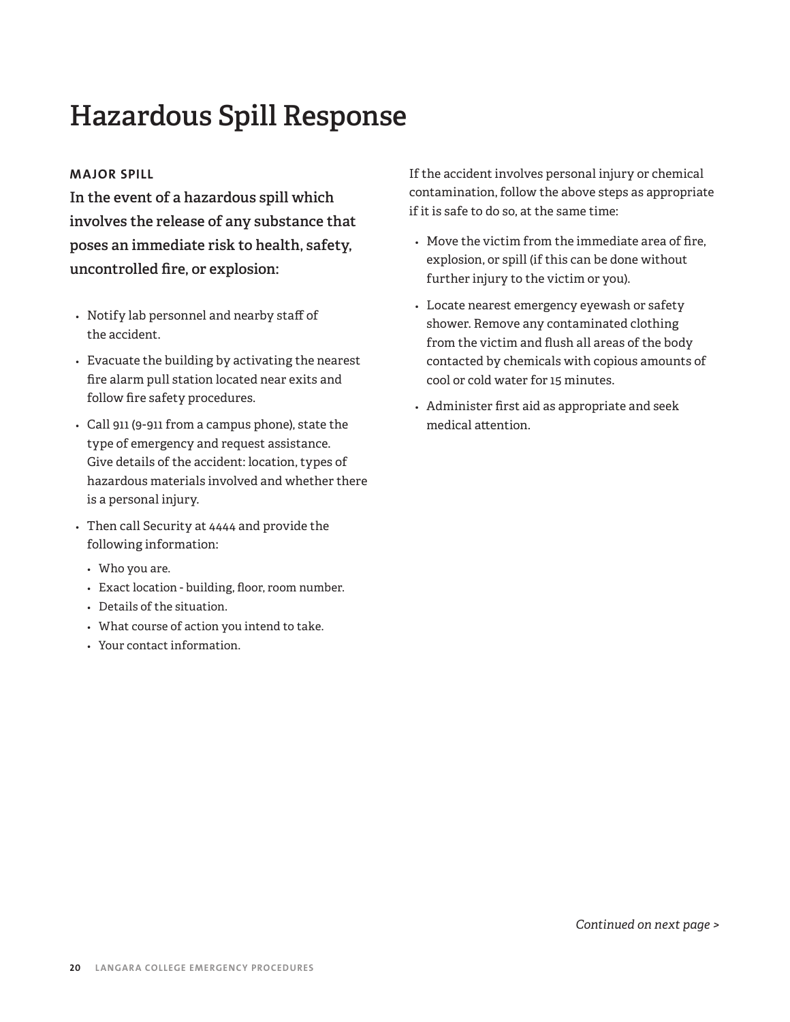# **Hazardous Spill Response**

### **MAJOR SPILL**

**In the event of a hazardous spill which involves the release of any substance that poses an immediate risk to health, safety, uncontrolled fire, or explosion:**

- *•* Notify lab personnel and nearby staff of the accident.
- *•* Evacuate the building by activating the nearest fire alarm pull station located near exits and follow fire safety procedures.
- *•* Call 911 (9-911 from a campus phone), state the type of emergency and request assistance. Give details of the accident: location, types of hazardous materials involved and whether there is a personal injury.
- *•* Then call Security at 4444 and provide the following information:
	- *•* Who you are.
	- *•* Exact location building, floor, room number.
	- *•* Details of the situation.
	- *•* What course of action you intend to take.
	- *•* Your contact information.

If the accident involves personal injury or chemical contamination, follow the above steps as appropriate if it is safe to do so, at the same time:

- *•* Move the victim from the immediate area of fire, explosion, or spill (if this can be done without further injury to the victim or you).
- *•* Locate nearest emergency eyewash or safety shower. Remove any contaminated clothing from the victim and flush all areas of the body contacted by chemicals with copious amounts of cool or cold water for 15 minutes.
- *•* Administer first aid as appropriate and seek medical attention.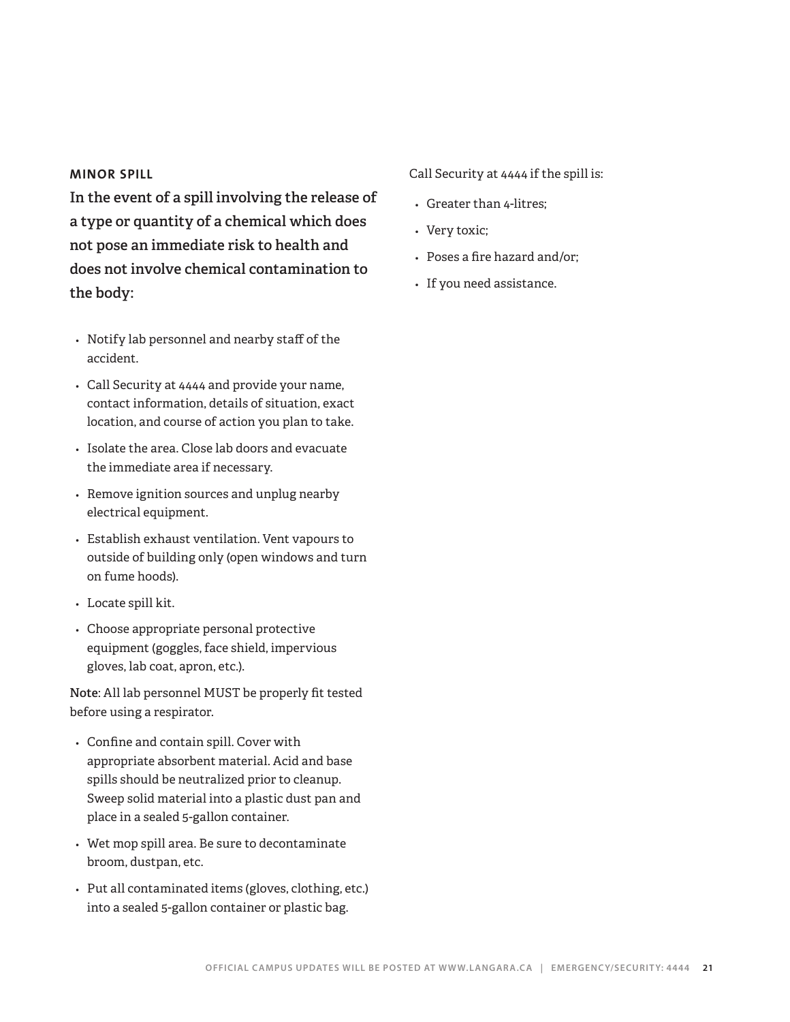### **MINOR SPILL**

**In the event of a spill involving the release of a type or quantity of a chemical which does not pose an immediate risk to health and does not involve chemical contamination to the body:**

- *•* Notify lab personnel and nearby staff of the accident.
- *•* Call Security at 4444 and provide your name, contact information, details of situation, exact location, and course of action you plan to take.
- *•* Isolate the area. Close lab doors and evacuate the immediate area if necessary.
- *•* Remove ignition sources and unplug nearby electrical equipment.
- *•* Establish exhaust ventilation. Vent vapours to outside of building only (open windows and turn on fume hoods).
- *•* Locate spill kit.
- *•* Choose appropriate personal protective equipment (goggles, face shield, impervious gloves, lab coat, apron, etc.).

**Note**: All lab personnel MUST be properly fit tested before using a respirator.

- *•* Confine and contain spill. Cover with appropriate absorbent material. Acid and base spills should be neutralized prior to cleanup. Sweep solid material into a plastic dust pan and place in a sealed 5-gallon container.
- *•* Wet mop spill area. Be sure to decontaminate broom, dustpan, etc.
- *•* Put all contaminated items (gloves, clothing, etc.) into a sealed 5-gallon container or plastic bag.

### Call Security at 4444 if the spill is:

- *•* Greater than 4-litres;
- *•* Very toxic;
- *•* Poses a fire hazard and/or;
- *•* If you need assistance.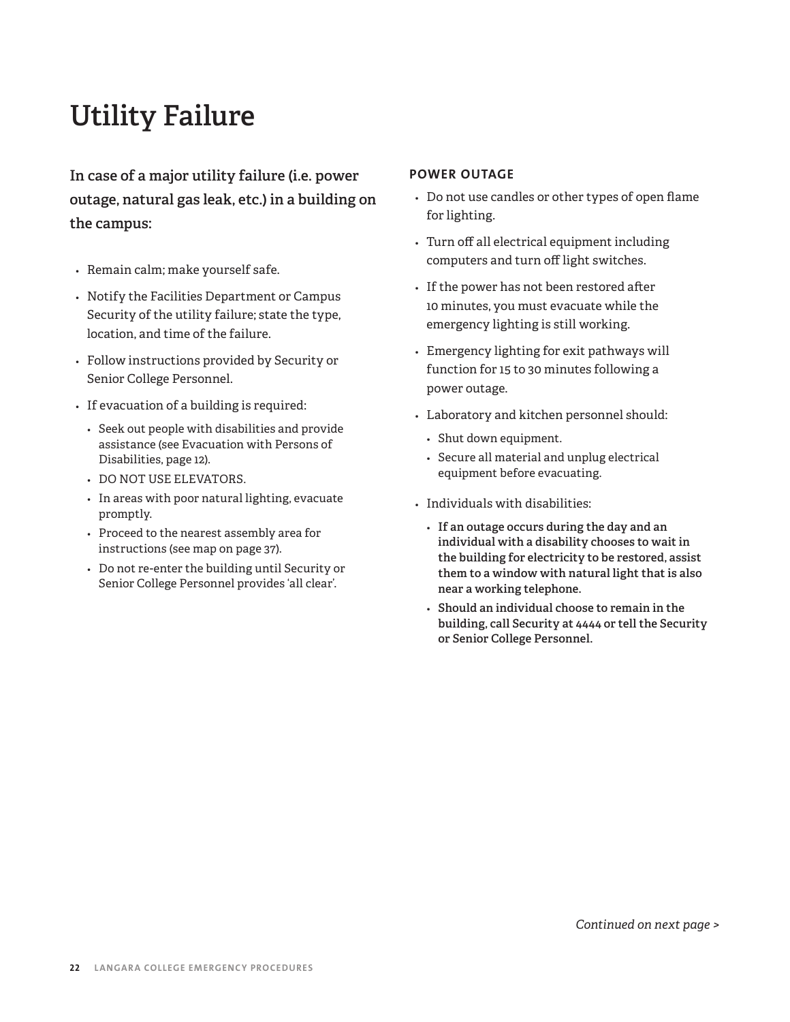# **Utility Failure**

**In case of a major utility failure (i.e. power outage, natural gas leak, etc.) in a building on the campus:**

- *•* Remain calm; make yourself safe.
- *•* Notify the Facilities Department or Campus Security of the utility failure; state the type, location, and time of the failure.
- *•* Follow instructions provided by Security or Senior College Personnel.
- *•* If evacuation of a building is required:
	- *•* Seek out people with disabilities and provide assistance (see Evacuation with Persons of Disabilities, page 12).
	- *•* DO NOT USE ELEVATORS.
	- *•* In areas with poor natural lighting, evacuate promptly.
	- *•* Proceed to the nearest assembly area for instructions (see map on page 37).
	- *•* Do not re-enter the building until Security or Senior College Personnel provides 'all clear'.

### **POWER OUTAGE**

- *•* Do not use candles or other types of open flame for lighting.
- *•* Turn off all electrical equipment including computers and turn off light switches.
- *•* If the power has not been restored after 10 minutes, you must evacuate while the emergency lighting is still working.
- *•* Emergency lighting for exit pathways will function for 15 to 30 minutes following a power outage.
- *•* Laboratory and kitchen personnel should:
	- *•* Shut down equipment.
	- *•* Secure all material and unplug electrical equipment before evacuating.
- *•* Individuals with disabilities:
	- *•* **If an outage occurs during the day and an individual with a disability chooses to wait in the building for electricity to be restored, assist them to a window with natural light that is also near a working telephone.**
	- *•* **Should an individual choose to remain in the building, call Security at 4444 or tell the Security or Senior College Personnel.**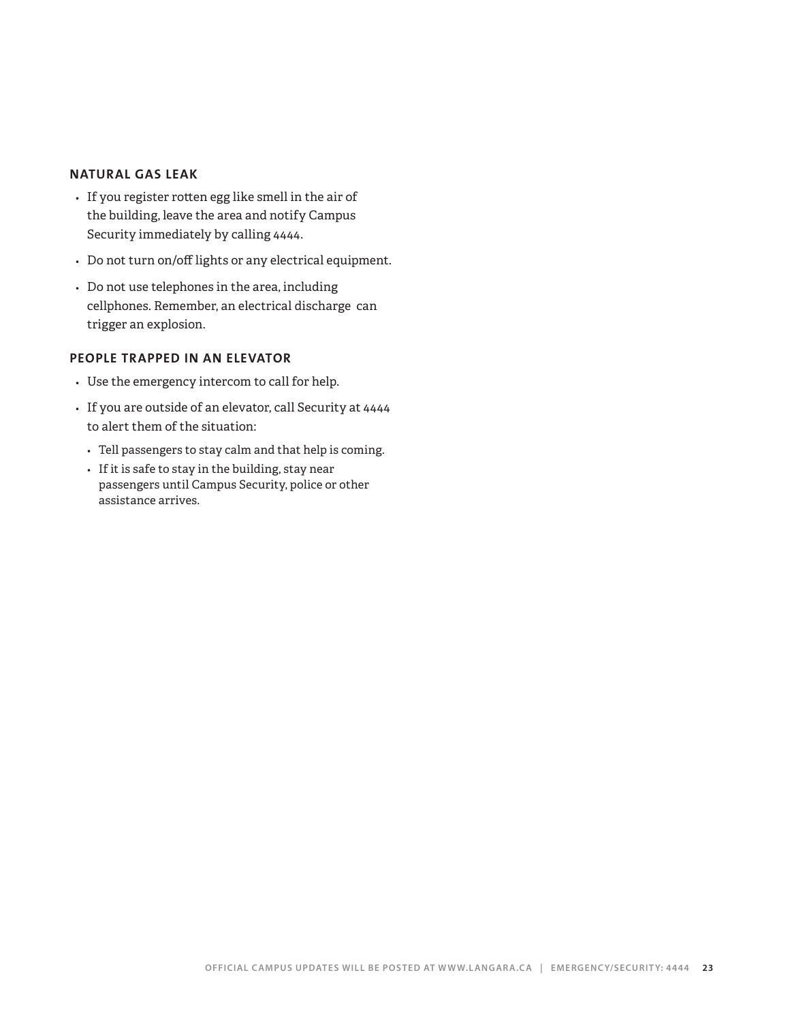### **NATURAL GAS LEAK**

- *•* If you register rotten egg like smell in the air of the building, leave the area and notify Campus Security immediately by calling 4444.
- *•* Do not turn on/off lights or any electrical equipment.
- *•* Do not use telephones in the area, including cellphones. Remember, an electrical discharge can trigger an explosion.

### **PEOPLE TRAPPED IN AN ELEVATOR**

- *•* Use the emergency intercom to call for help.
- *•* If you are outside of an elevator, call Security at 4444 to alert them of the situation:
	- *•* Tell passengers to stay calm and that help is coming.
	- *•* If it is safe to stay in the building, stay near passengers until Campus Security, police or other assistance arrives.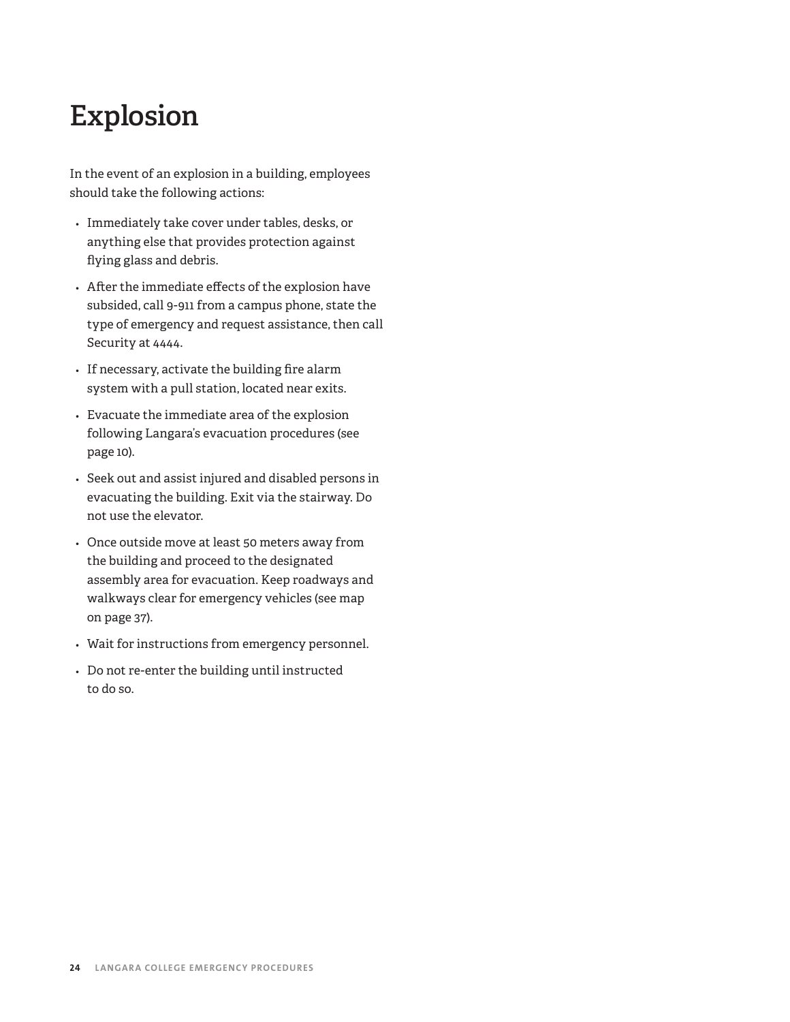# **Explosion**

In the event of an explosion in a building, employees should take the following actions:

- *•* Immediately take cover under tables, desks, or anything else that provides protection against flying glass and debris.
- *•* After the immediate effects of the explosion have subsided, call 9-911 from a campus phone, state the type of emergency and request assistance, then call Security at 4444.
- *•* If necessary, activate the building fire alarm system with a pull station, located near exits.
- *•* Evacuate the immediate area of the explosion following Langara's evacuation procedures (see page 10).
- *•* Seek out and assist injured and disabled persons in evacuating the building. Exit via the stairway. Do not use the elevator.
- *•* Once outside move at least 50 meters away from the building and proceed to the designated assembly area for evacuation. Keep roadways and walkways clear for emergency vehicles (see map on page 37).
- *•* Wait for instructions from emergency personnel.
- *•* Do not re-enter the building until instructed to do so.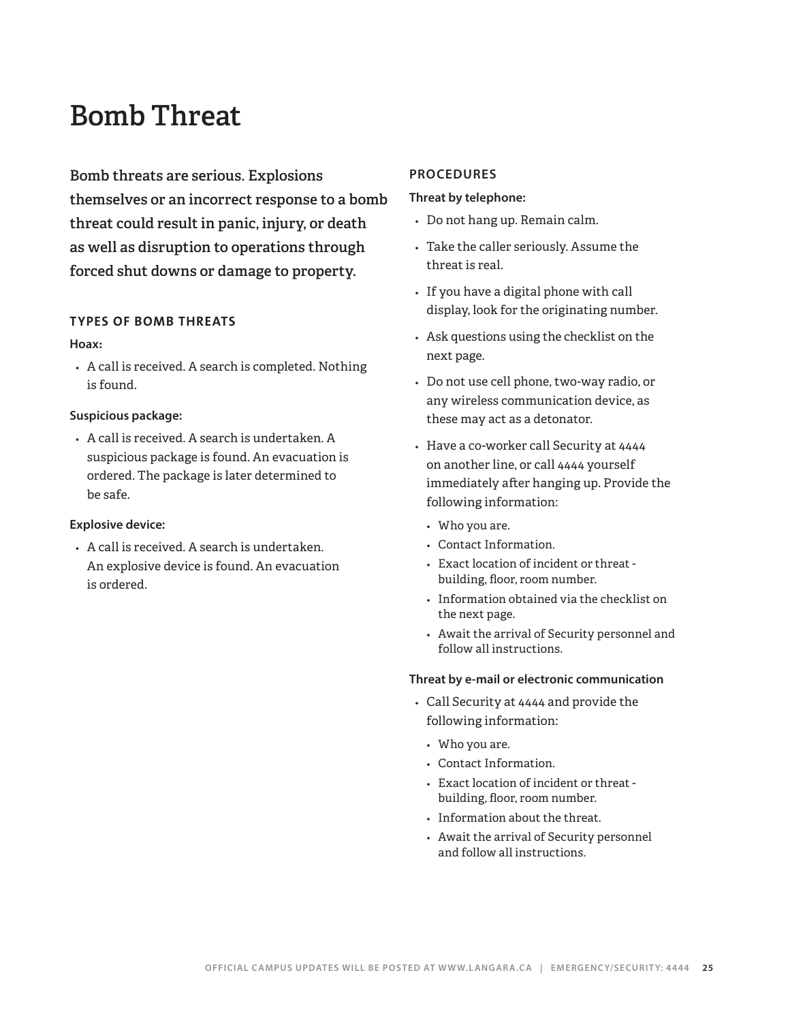# **Bomb Threat**

**Bomb threats are serious. Explosions themselves or an incorrect response to a bomb threat could result in panic, injury, or death as well as disruption to operations through forced shut downs or damage to property.** 

### **TYPES OF BOMB THREATS**

### **Hoax:**

*•* A call is received. A search is completed. Nothing is found.

### **Suspicious package:**

*•* A call is received. A search is undertaken. A suspicious package is found. An evacuation is ordered. The package is later determined to be safe.

### **Explosive device:**

*•* A call is received. A search is undertaken. An explosive device is found. An evacuation is ordered.

### **PROCEDURES**

### **Threat by telephone:**

- *•* Do not hang up. Remain calm.
- *•* Take the caller seriously. Assume the threat is real.
- *•* If you have a digital phone with call display, look for the originating number.
- *•* Ask questions using the checklist on the next page.
- *•* Do not use cell phone, two-way radio, or any wireless communication device, as these may act as a detonator.
- *•* Have a co-worker call Security at 4444 on another line, or call 4444 yourself immediately after hanging up. Provide the following information:
	- *•* Who you are.
	- *•* Contact Information.
	- *•* Exact location of incident or threat building, floor, room number.
	- *•* Information obtained via the checklist on the next page.
	- *•* Await the arrival of Security personnel and follow all instructions.

### **Threat by e-mail or electronic communication**

- *•* Call Security at 4444 and provide the following information:
	- *•* Who you are.
	- *•* Contact Information.
	- *•* Exact location of incident or threat building, floor, room number.
	- *•* Information about the threat.
	- *•* Await the arrival of Security personnel and follow all instructions.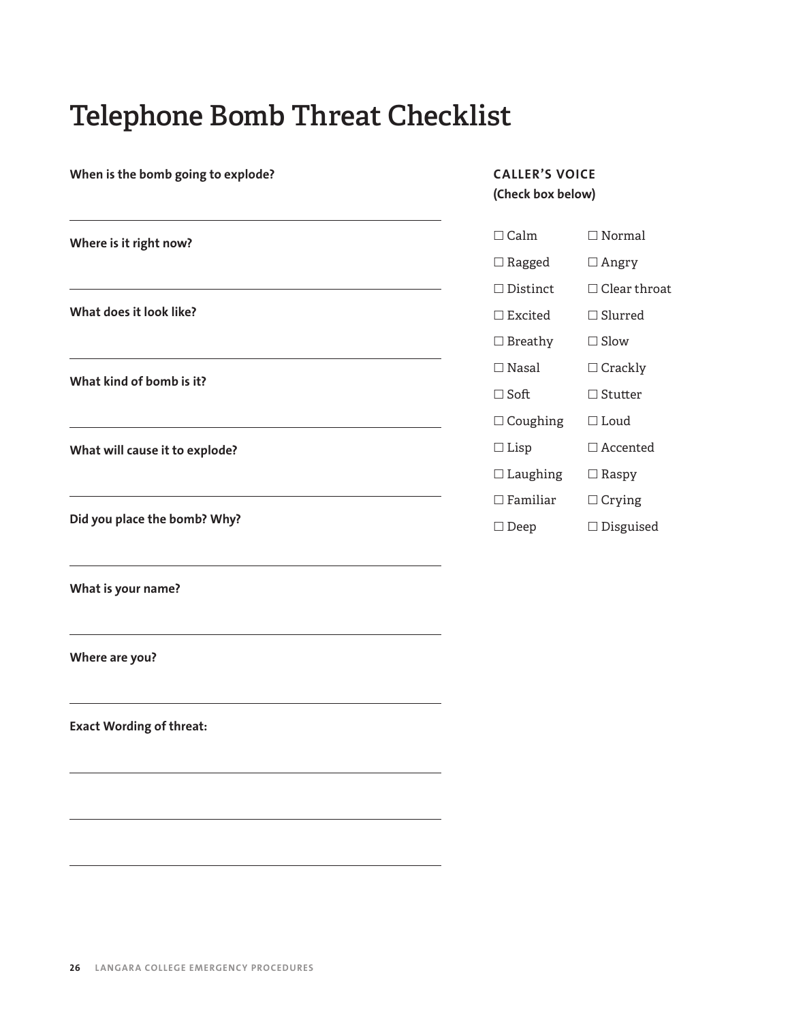# **Telephone Bomb Threat Checklist**

| When is the bomb going to explode? | <b>CALLER'S VOICE</b><br>(Check box below) |                     |
|------------------------------------|--------------------------------------------|---------------------|
| Where is it right now?             | $\Box$ Calm                                | $\Box$ Normal       |
|                                    | $\Box$ Ragged                              | $\Box$ Angry        |
|                                    | $\Box$ Distinct                            | $\Box$ Clear throat |
| What does it look like?            | $\Box$ Excited                             | $\Box$ Slurred      |
|                                    | $\Box$ Breathy                             | $\Box$ Slow         |
|                                    | $\Box$ Nasal                               | $\Box$ Crackly      |
| What kind of bomb is it?           | $\Box$ Soft                                | $\Box$ Stutter      |
|                                    | $\Box$ Coughing                            | $\Box$ Loud         |
| What will cause it to explode?     | $\Box$ Lisp                                | $\Box$ Accented     |
|                                    | $\Box$ Laughing                            | $\Box$ Raspy        |
|                                    | $\Box$<br>Familiar                         | $\Box$ Crying       |
| Did you place the bomb? Why?       | $\square$ Deep                             | $\Box$ Disguised    |
| What is your name?                 |                                            |                     |
| Where are you?                     |                                            |                     |
| <b>Exact Wording of threat:</b>    |                                            |                     |
|                                    |                                            |                     |
|                                    |                                            |                     |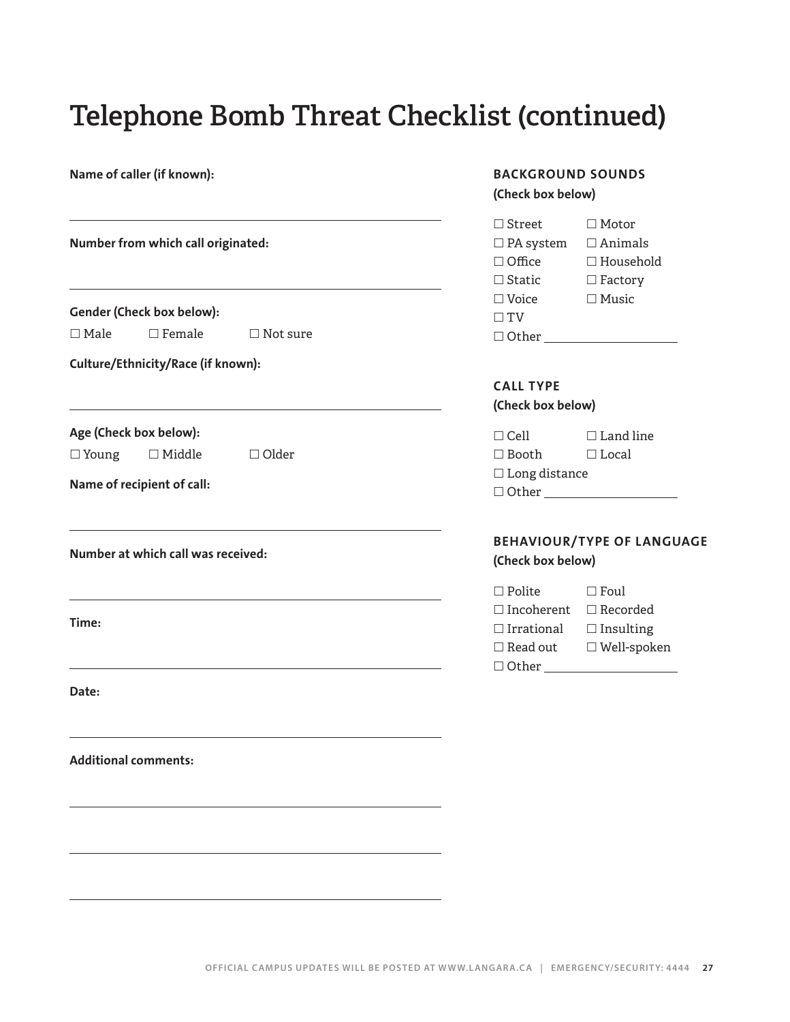# **Telephone Bomb Threat Checklist (continued)**

| Name of caller (if known):         |                                                                       |                 | <b>BACKGROUND SOUNDS</b><br>(Check box below)                       |                                                                                                 |
|------------------------------------|-----------------------------------------------------------------------|-----------------|---------------------------------------------------------------------|-------------------------------------------------------------------------------------------------|
| Number from which call originated: |                                                                       |                 | $\Box$ Street<br>$\Box$ PA system<br>$\Box$ Office<br>$\Box$ Static | $\Box$ Motor<br>$\Box$ Animals<br>$\Box$ Household<br>$\Box$ Factory                            |
|                                    | Gender (Check box below):                                             |                 | $\square$ Voice<br>$\Box$ TV                                        | $\Box$ Music                                                                                    |
| $\Box$ Male                        | $\Box$ Female                                                         | $\Box$ Not sure |                                                                     |                                                                                                 |
|                                    | Culture/Ethnicity/Race (if known):                                    |                 |                                                                     |                                                                                                 |
|                                    |                                                                       |                 | <b>CALL TYPE</b><br>(Check box below)                               |                                                                                                 |
| $\square$ Young                    | Age (Check box below):<br>$\Box$ Middle<br>Name of recipient of call: | $\Box$ Older    | $\Box$ Cell<br>$\square$ Booth<br>$\Box$<br>Long distance           | $\Box$ Land line<br>$\Box$ Local<br>$\Box$ Other $\_\_$                                         |
|                                    | Number at which call was received:                                    |                 | (Check box below)                                                   | <b>BEHAVIOUR/TYPE OF LAN</b>                                                                    |
| Time:                              |                                                                       |                 | $\Box$ Polite<br>$\Box$ Irrational<br>$\Box$ Read out               | $\square$ Foul<br>$\Box$ Incoherent $\Box$ Recorded<br>$\Box$ Insulting<br>$\square$ Well-spoke |
| Date:                              |                                                                       |                 |                                                                     |                                                                                                 |
|                                    | <b>Additional comments:</b>                                           |                 |                                                                     |                                                                                                 |
|                                    |                                                                       |                 |                                                                     |                                                                                                 |

### **BACKGROUND SOUNDS**  k box below)

| $\Box$ Voice  | $\Box$ Music                          |  |  |
|---------------|---------------------------------------|--|--|
| $\Box$ TV     |                                       |  |  |
| $\Box$ Other  |                                       |  |  |
|               |                                       |  |  |
|               | <b>CALL TYPE</b><br>(Check box below) |  |  |
| $\sqcap$ Cell | $\Box$ Land line                      |  |  |

| $\Box$ Booth         | $\Box$ Local |  |
|----------------------|--------------|--|
| $\Box$ Long distance |              |  |
| $\Box$ Other         |              |  |
|                      |              |  |

### **BEHAVIOUR/TYPE OF LANGUAGE k** box below)

| $\Box$ Polite     | $\Box$ Foul        |
|-------------------|--------------------|
| $\Box$ Incoherent | $\Box$ Recorded    |
| $\Box$ Irrational | $\Box$ Insulting   |
| $\Box$ Read out.  | $\Box$ Well-spoken |
| $\Box$ Other      |                    |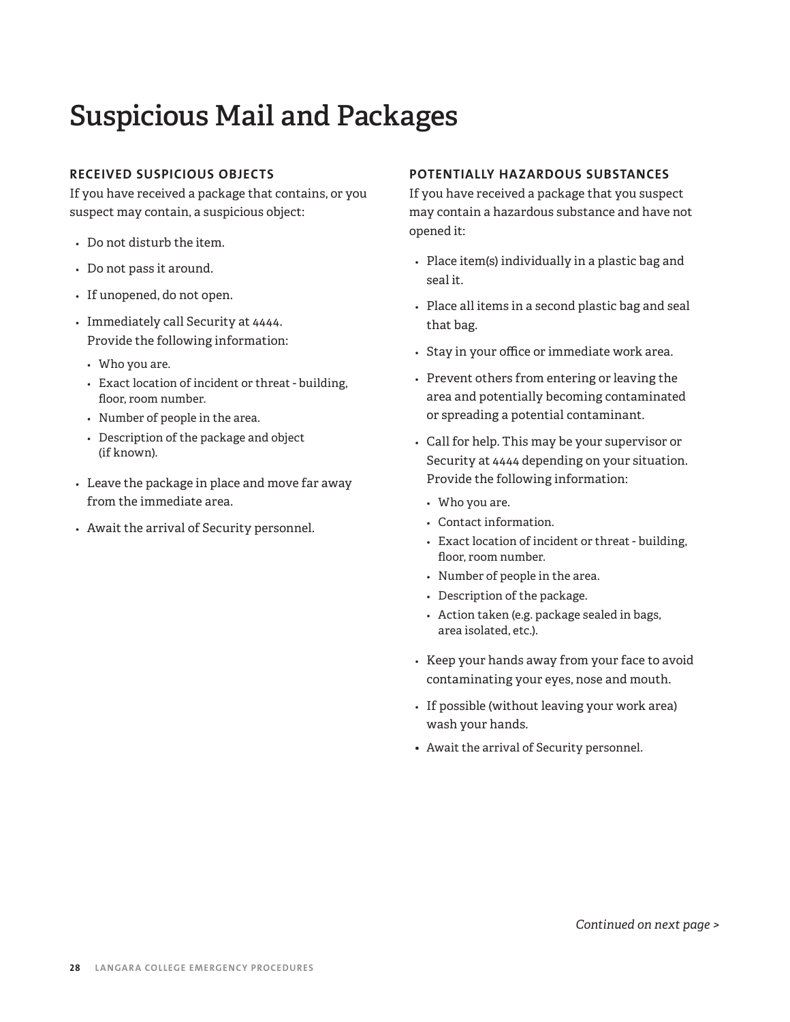# **Suspicious Mail and Packages**

### **RECEIVED SUSPICIOUS OBJECTS**

If you have received a package that contains, or you suspect may contain, a suspicious object:

- *•* Do not disturb the item.
- *•* Do not pass it around.
- *•* If unopened, do not open.
- *•* Immediately call Security at 4444. Provide the following information:
	- *•* Who you are.
	- *•* Exact location of incident or threat building, floor, room number.
	- *•* Number of people in the area.
	- *•* Description of the package and object (if known).
- *•* Leave the package in place and move far away from the immediate area.
- *•* Await the arrival of Security personnel.

### **POTENTIALLY HAZARDOUS SUBSTANCES**

If you have received a package that you suspect may contain a hazardous substance and have not opened it:

- *•* Place item(s) individually in a plastic bag and seal it.
- *•* Place all items in a second plastic bag and seal that bag.
- *•* Stay in your office or immediate work area.
- *•* Prevent others from entering or leaving the area and potentially becoming contaminated or spreading a potential contaminant.
- *•* Call for help. This may be your supervisor or Security at 4444 depending on your situation. Provide the following information:
	- *•* Who you are.
	- *•* Contact information.
	- *•* Exact location of incident or threat building, floor, room number.
	- *•* Number of people in the area.
	- *•* Description of the package.
	- *•* Action taken (e.g. package sealed in bags, area isolated, etc.).
- *•* Keep your hands away from your face to avoid contaminating your eyes, nose and mouth.
- *•* If possible (without leaving your work area) wash your hands.
- Await the arrival of Security personnel.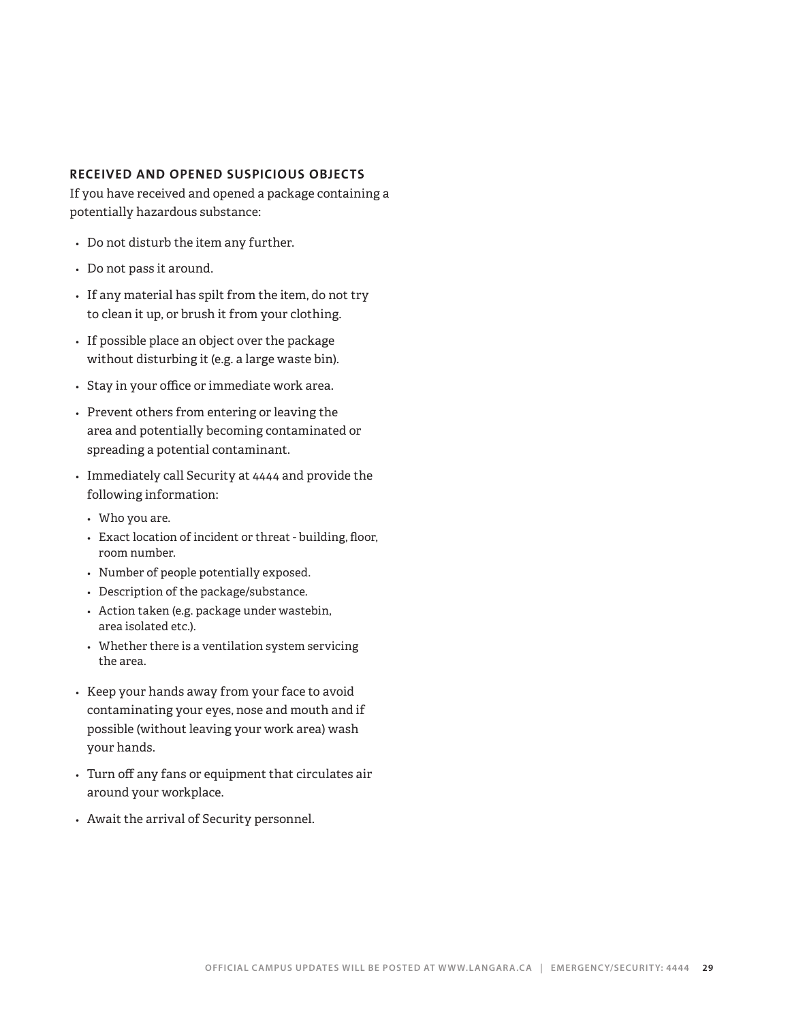### **RECEIVED AND OPENED SUSPICIOUS OBJECTS**

If you have received and opened a package containing a potentially hazardous substance:

- *•* Do not disturb the item any further.
- *•* Do not pass it around.
- *•* If any material has spilt from the item, do not try to clean it up, or brush it from your clothing.
- *•* If possible place an object over the package without disturbing it (e.g. a large waste bin).
- *•* Stay in your office or immediate work area.
- *•* Prevent others from entering or leaving the area and potentially becoming contaminated or spreading a potential contaminant.
- *•* Immediately call Security at 4444 and provide the following information:
	- *•* Who you are.
	- *•* Exact location of incident or threat building, floor, room number.
	- *•* Number of people potentially exposed.
	- *•* Description of the package/substance.
	- *•* Action taken (e.g. package under wastebin, area isolated etc.).
	- *•* Whether there is a ventilation system servicing the area.
- *•* Keep your hands away from your face to avoid contaminating your eyes, nose and mouth and if possible (without leaving your work area) wash your hands.
- *•* Turn off any fans or equipment that circulates air around your workplace.
- *•* Await the arrival of Security personnel.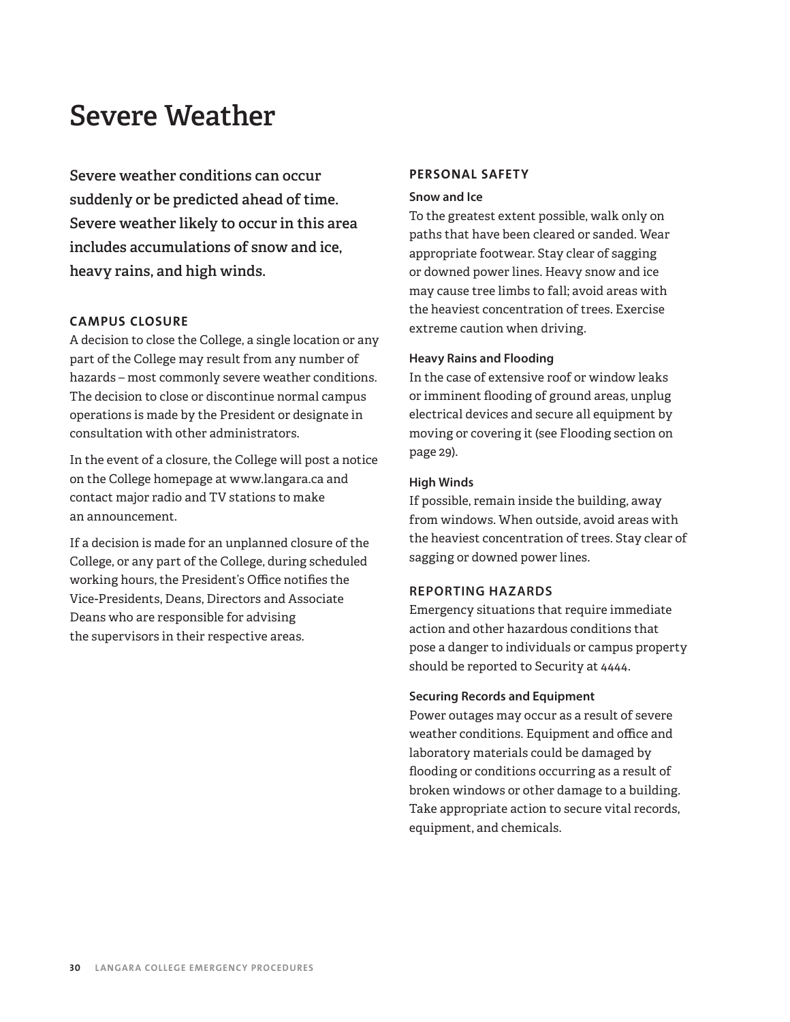# **Severe Weather**

**Severe weather conditions can occur suddenly or be predicted ahead of time. Severe weather likely to occur in this area includes accumulations of snow and ice, heavy rains, and high winds.**

### **CAMPUS CLOSURE**

A decision to close the College, a single location or any part of the College may result from any number of hazards – most commonly severe weather conditions. The decision to close or discontinue normal campus operations is made by the President or designate in consultation with other administrators.

In the event of a closure, the College will post a notice on the College homepage at www.langara.ca and contact major radio and TV stations to make an announcement.

If a decision is made for an unplanned closure of the College, or any part of the College, during scheduled working hours, the President's Office notifies the Vice-Presidents, Deans, Directors and Associate Deans who are responsible for advising the supervisors in their respective areas.

### **PERSONAL SAFETY**

### **Snow and Ice**

To the greatest extent possible, walk only on paths that have been cleared or sanded. Wear appropriate footwear. Stay clear of sagging or downed power lines. Heavy snow and ice may cause tree limbs to fall; avoid areas with the heaviest concentration of trees. Exercise extreme caution when driving.

### **Heavy Rains and Flooding**

In the case of extensive roof or window leaks or imminent flooding of ground areas, unplug electrical devices and secure all equipment by moving or covering it (see Flooding section on page 29).

### **High Winds**

If possible, remain inside the building, away from windows. When outside, avoid areas with the heaviest concentration of trees. Stay clear of sagging or downed power lines.

### **REPORTING HAZARDS**

Emergency situations that require immediate action and other hazardous conditions that pose a danger to individuals or campus property should be reported to Security at 4444.

### **Securing Records and Equipment**

Power outages may occur as a result of severe weather conditions. Equipment and office and laboratory materials could be damaged by flooding or conditions occurring as a result of broken windows or other damage to a building. Take appropriate action to secure vital records, equipment, and chemicals.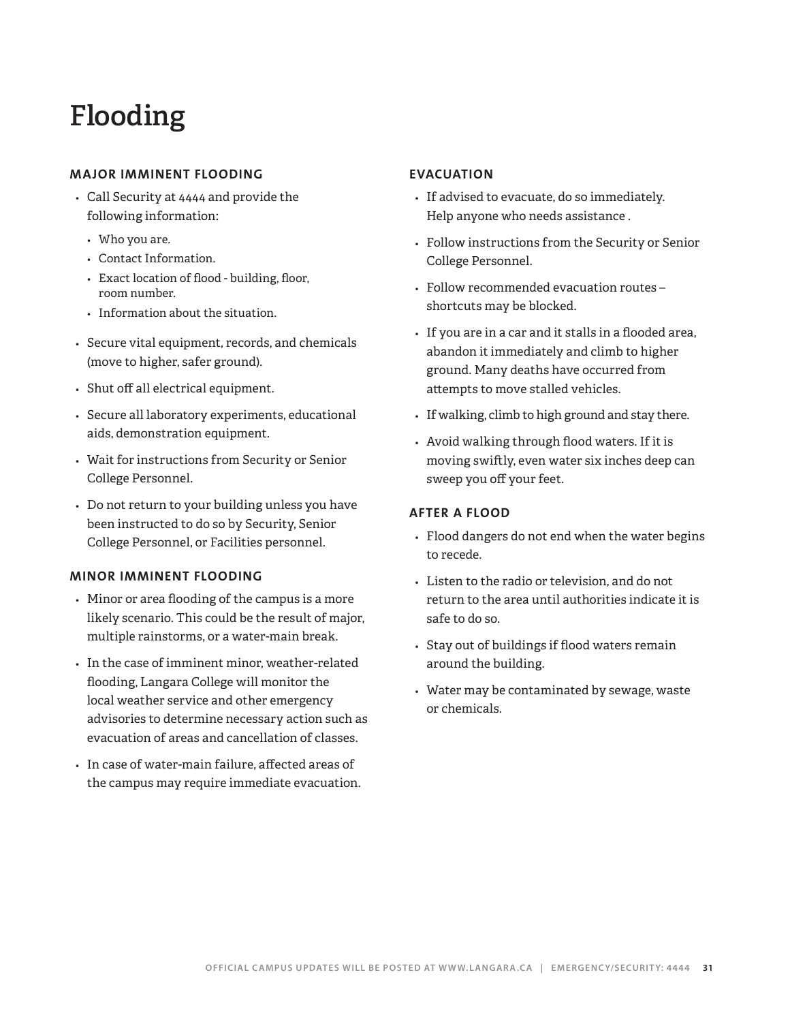# **Flooding**

### **MAJOR IMMINENT FLOODING**

- *•* Call Security at 4444 and provide the following information**:**
	- *•* Who you are.
	- *•* Contact Information.
	- *•* Exact location of flood building, floor, room number.
	- *•* Information about the situation.
- *•* Secure vital equipment, records, and chemicals (move to higher, safer ground).
- *•* Shut off all electrical equipment.
- *•* Secure all laboratory experiments, educational aids, demonstration equipment.
- *•* Wait for instructions from Security or Senior College Personnel.
- *•* Do not return to your building unless you have been instructed to do so by Security, Senior College Personnel, or Facilities personnel.

### **MINOR IMMINENT FLOODING**

- *•* Minor or area flooding of the campus is a more likely scenario. This could be the result of major, multiple rainstorms, or a water-main break.
- *•* In the case of imminent minor, weather-related flooding, Langara College will monitor the local weather service and other emergency advisories to determine necessary action such as evacuation of areas and cancellation of classes.
- *•* In case of water-main failure, affected areas of the campus may require immediate evacuation.

### **EVACUATION**

- *•* If advised to evacuate, do so immediately. Help anyone who needs assistance .
- *•* Follow instructions from the Security or Senior College Personnel.
- *•* Follow recommended evacuation routes shortcuts may be blocked.
- *•* If you are in a car and it stalls in a flooded area, abandon it immediately and climb to higher ground. Many deaths have occurred from attempts to move stalled vehicles.
- *•* If walking, climb to high ground and stay there.
- *•* Avoid walking through flood waters. If it is moving swiftly, even water six inches deep can sweep you off your feet.

### **AFTER A FLOOD**

- *•* Flood dangers do not end when the water begins to recede.
- *•* Listen to the radio or television, and do not return to the area until authorities indicate it is safe to do so.
- *•* Stay out of buildings if flood waters remain around the building.
- *•* Water may be contaminated by sewage, waste or chemicals.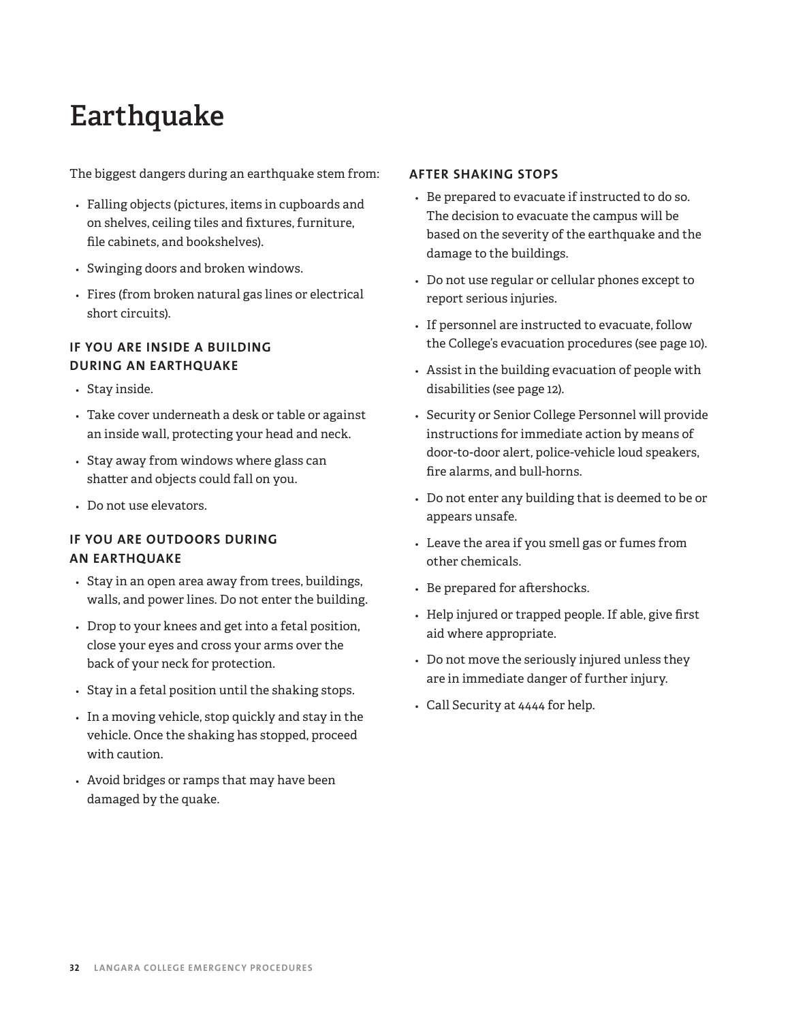# **Earthquake**

The biggest dangers during an earthquake stem from:

- *•* Falling objects (pictures, items in cupboards and on shelves, ceiling tiles and fixtures, furniture, file cabinets, and bookshelves).
- *•* Swinging doors and broken windows.
- *•* Fires (from broken natural gas lines or electrical short circuits).

### **IF YOU ARE INSIDE A BUILDING DURING AN EARTHQUAKE**

- *•* Stay inside.
- *•* Take cover underneath a desk or table or against an inside wall, protecting your head and neck.
- *•* Stay away from windows where glass can shatter and objects could fall on you.
- *•* Do not use elevators.

### **IF YOU ARE OUTDOORS DURING AN EARTHQUAKE**

- *•* Stay in an open area away from trees, buildings, walls, and power lines. Do not enter the building.
- *•* Drop to your knees and get into a fetal position, close your eyes and cross your arms over the back of your neck for protection.
- *•* Stay in a fetal position until the shaking stops.
- *•* In a moving vehicle, stop quickly and stay in the vehicle. Once the shaking has stopped, proceed with caution.
- *•* Avoid bridges or ramps that may have been damaged by the quake.

### **AFTER SHAKING STOPS**

- *•* Be prepared to evacuate if instructed to do so. The decision to evacuate the campus will be based on the severity of the earthquake and the damage to the buildings.
- *•* Do not use regular or cellular phones except to report serious injuries.
- *•* If personnel are instructed to evacuate, follow the College's evacuation procedures (see page 10).
- *•* Assist in the building evacuation of people with disabilities (see page 12).
- *•* Security or Senior College Personnel will provide instructions for immediate action by means of door-to-door alert, police-vehicle loud speakers, fire alarms, and bull-horns.
- *•* Do not enter any building that is deemed to be or appears unsafe.
- *•* Leave the area if you smell gas or fumes from other chemicals.
- *•* Be prepared for aftershocks.
- *•* Help injured or trapped people. If able, give first aid where appropriate.
- *•* Do not move the seriously injured unless they are in immediate danger of further injury.
- *•* Call Security at 4444 for help.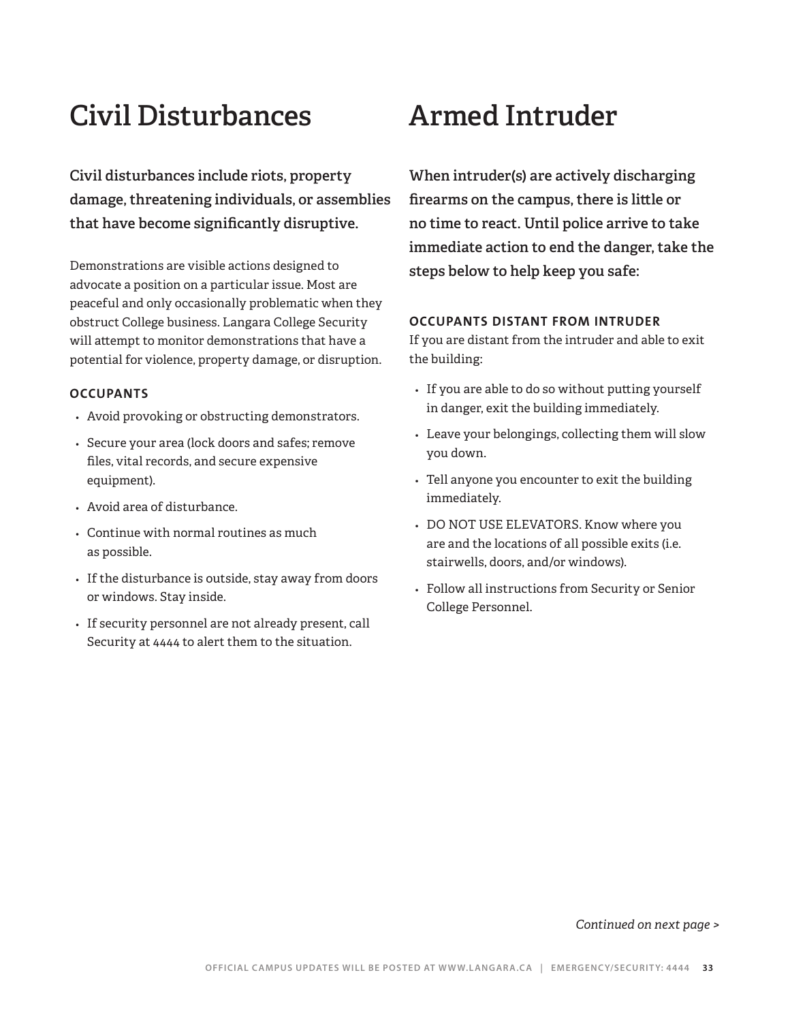# **Civil Disturbances Armed Intruder**

**Civil disturbances include riots, property damage, threatening individuals, or assemblies that have become significantly disruptive.** 

Demonstrations are visible actions designed to advocate a position on a particular issue. Most are peaceful and only occasionally problematic when they obstruct College business. Langara College Security will attempt to monitor demonstrations that have a potential for violence, property damage, or disruption.

### **OCCUPANTS**

- *•* Avoid provoking or obstructing demonstrators.
- *•* Secure your area (lock doors and safes; remove files, vital records, and secure expensive equipment).
- *•* Avoid area of disturbance.
- *•* Continue with normal routines as much as possible.
- *•* If the disturbance is outside, stay away from doors or windows. Stay inside.
- *•* If security personnel are not already present, call Security at 4444 to alert them to the situation.

**When intruder(s) are actively discharging firearms on the campus, there is little or no time to react. Until police arrive to take immediate action to end the danger, take the steps below to help keep you safe:** 

### **OCCUPANTS DISTANT FROM INTRUDER**

If you are distant from the intruder and able to exit the building:

- *•* If you are able to do so without putting yourself in danger, exit the building immediately.
- *•* Leave your belongings, collecting them will slow you down.
- *•* Tell anyone you encounter to exit the building immediately.
- *•* DO NOT USE ELEVATORS. Know where you are and the locations of all possible exits (i.e. stairwells, doors, and/or windows).
- *•* Follow all instructions from Security or Senior College Personnel.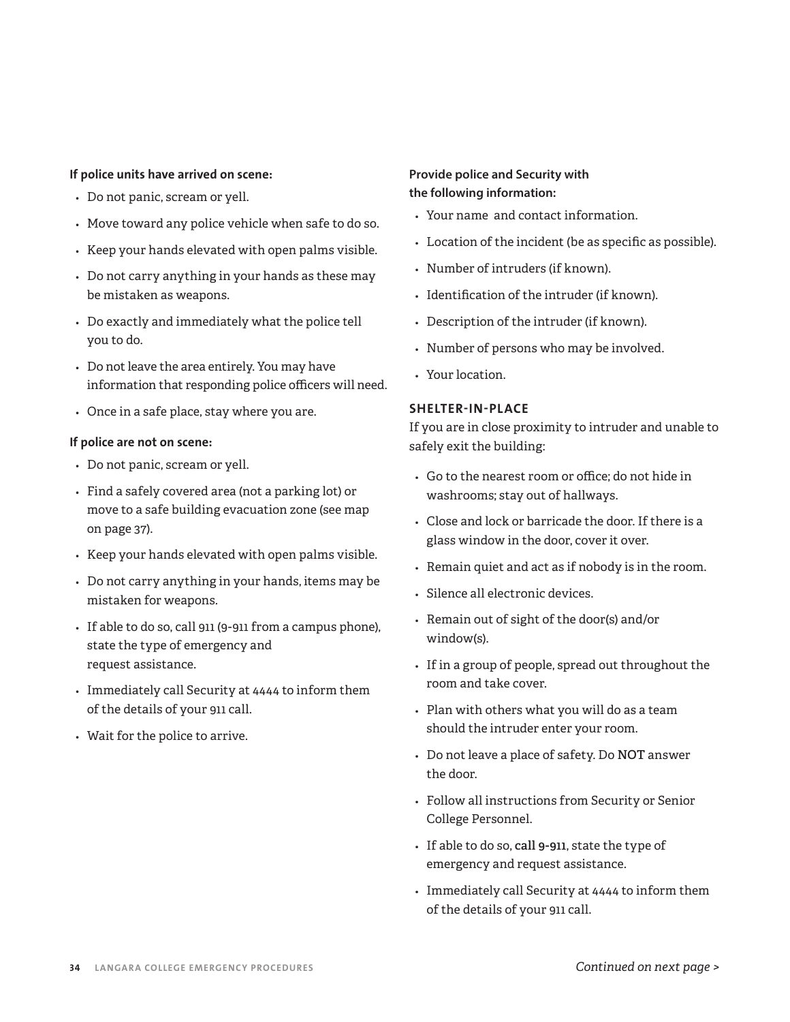### **If police units have arrived on scene:**

- *•* Do not panic, scream or yell.
- *•* Move toward any police vehicle when safe to do so.
- *•* Keep your hands elevated with open palms visible.
- *•* Do not carry anything in your hands as these may be mistaken as weapons.
- *•* Do exactly and immediately what the police tell you to do.
- *•* Do not leave the area entirely. You may have information that responding police officers will need.
- *•* Once in a safe place, stay where you are.

### **If police are not on scene:**

- *•* Do not panic, scream or yell.
- *•* Find a safely covered area (not a parking lot) or move to a safe building evacuation zone (see map on page 37).
- *•* Keep your hands elevated with open palms visible.
- *•* Do not carry anything in your hands, items may be mistaken for weapons.
- *•* If able to do so, call 911 (9-911 from a campus phone), state the type of emergency and request assistance.
- *•* Immediately call Security at 4444 to inform them of the details of your 911 call.
- *•* Wait for the police to arrive.

### **Provide police and Security with the following information:**

- *•* Your name and contact information.
- *•* Location of the incident (be as specific as possible).
- *•* Number of intruders (if known).
- *•* Identification of the intruder (if known).
- *•* Description of the intruder (if known).
- *•* Number of persons who may be involved.
- *•* Your location.

### **SHELTER-IN-PLACE**

If you are in close proximity to intruder and unable to safely exit the building:

- *•* Go to the nearest room or office; do not hide in washrooms; stay out of hallways.
- *•* Close and lock or barricade the door. If there is a glass window in the door, cover it over.
- *•* Remain quiet and act as if nobody is in the room.
- *•* Silence all electronic devices.
- *•* Remain out of sight of the door(s) and/or window(s).
- *•* If in a group of people, spread out throughout the room and take cover.
- *•* Plan with others what you will do as a team should the intruder enter your room.
- *•* Do not leave a place of safety. Do **NOT** answer the door.
- *•* Follow all instructions from Security or Senior College Personnel.
- *•* If able to do so, **call 9-911**, state the type of emergency and request assistance.
- *•* Immediately call Security at 4444 to inform them of the details of your 911 call.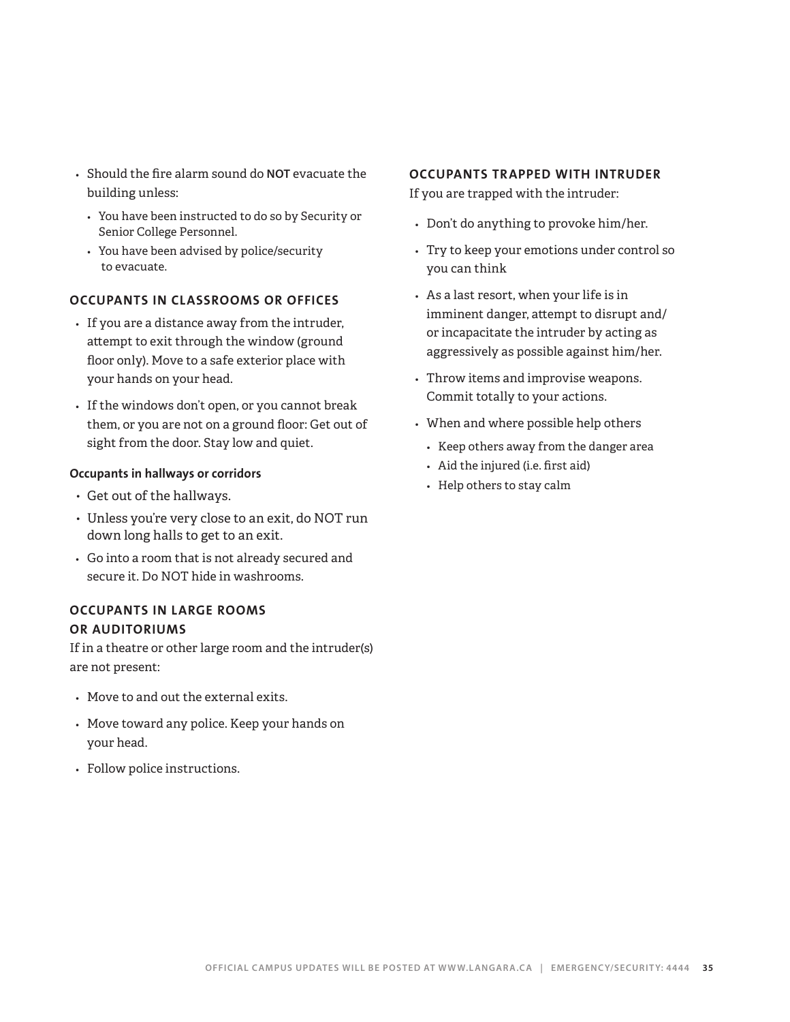- *•* Should the fire alarm sound do **NOT** evacuate the building unless:
	- *•* You have been instructed to do so by Security or Senior College Personnel.
	- *•* You have been advised by police/security to evacuate.

### **OCCUPANTS IN CLASSROOMS OR OFFICES**

- *•* If you are a distance away from the intruder, attempt to exit through the window (ground floor only). Move to a safe exterior place with your hands on your head.
- *•* If the windows don't open, or you cannot break them, or you are not on a ground floor: Get out of sight from the door. Stay low and quiet.

### **Occupants in hallways or corridors**

- Get out of the hallways.
- Unless you're very close to an exit, do NOT run down long halls to get to an exit.
- *•* Go into a room that is not already secured and secure it. Do NOT hide in washrooms.

### **OCCUPANTS IN LARGE ROOMS OR AUDITORIUMS**

If in a theatre or other large room and the intruder(s) are not present:

- *•* Move to and out the external exits.
- *•* Move toward any police. Keep your hands on your head.
- *•* Follow police instructions.

### **OCCUPANTS TRAPPED WITH INTRUDER**

If you are trapped with the intruder:

- *•* Don't do anything to provoke him/her.
- *•* Try to keep your emotions under control so you can think
- *•* As a last resort, when your life is in imminent danger, attempt to disrupt and/ or incapacitate the intruder by acting as aggressively as possible against him/her.
- *•* Throw items and improvise weapons. Commit totally to your actions.
- *•* When and where possible help others
	- *•* Keep others away from the danger area
	- *•* Aid the injured (i.e. first aid)
	- *•* Help others to stay calm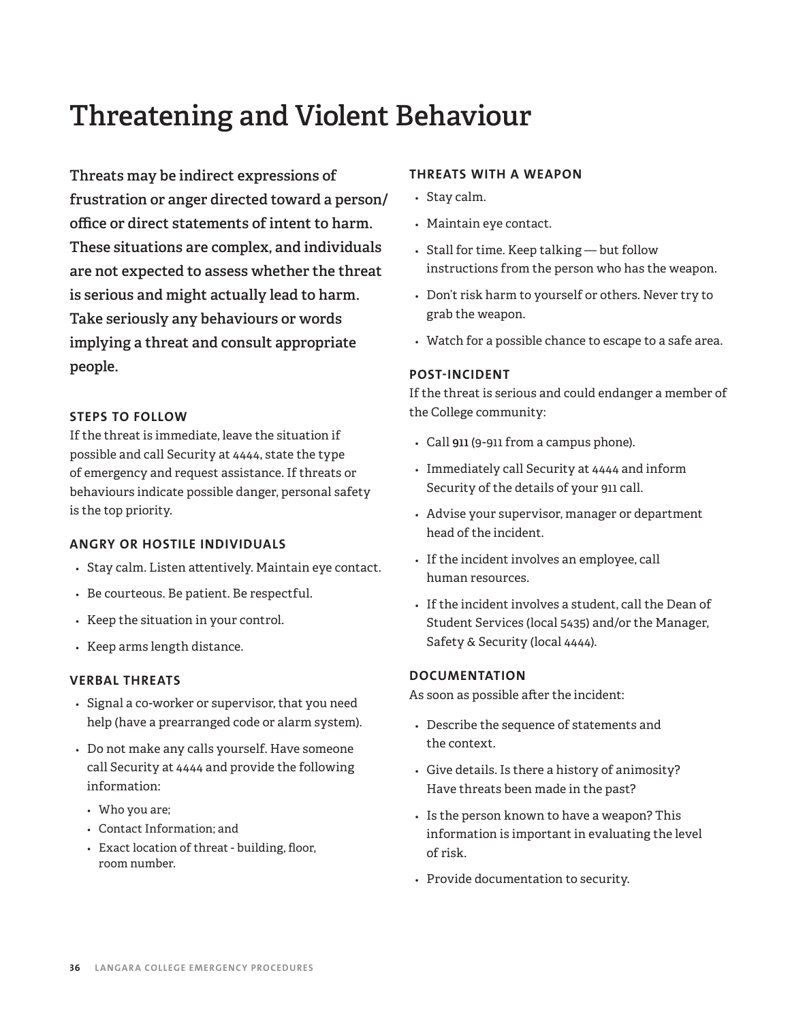# **Threatening and Violent Behaviour**

**Threats may be indirect expressions of frustration or anger directed toward a person/ office or direct statements of intent to harm. These situations are complex, and individuals are not expected to assess whether the threat is serious and might actually lead to harm. Take seriously any behaviours or words implying a threat and consult appropriate people.** 

### **STEPS TO FOLLOW**

If the threat is immediate, leave the situation if possible and call Security at 4444, state the type of emergency and request assistance. If threats or behaviours indicate possible danger, personal safety is the top priority.

### **ANGRY OR HOSTILE INDIVIDUALS**

- *•* Stay calm. Listen attentively. Maintain eye contact.
- *•* Be courteous. Be patient. Be respectful.
- *•* Keep the situation in your control.
- *•* Keep arms length distance.

### **VERBAL THREATS**

- *•* Signal a co-worker or supervisor, that you need help (have a prearranged code or alarm system).
- *•* Do not make any calls yourself. Have someone call Security at 4444 and provide the following information:
	- *•* Who you are;
	- *•* Contact Information; and
	- *•* Exact location of threat building, floor, room number.

### **THREATS WITH A WEAPON**

- *•* Stay calm.
- *•* Maintain eye contact.
- *•* Stall for time. Keep talking but follow instructions from the person who has the weapon.
- *•* Don't risk harm to yourself or others. Never try to grab the weapon.
- *•* Watch for a possible chance to escape to a safe area.

### **POST-INCIDENT**

If the threat is serious and could endanger a member of the College community:

- *•* Call **911** (9-911 from a campus phone).
- *•* Immediately call Security at 4444 and inform Security of the details of your 911 call.
- *•* Advise your supervisor, manager or department head of the incident.
- *•* If the incident involves an employee, call human resources.
- *•* If the incident involves a student, call the Dean of Student Services (local 5435) and/or the Manager, Safety & Security (local 4444).

### **DOCUMENTATION**

As soon as possible after the incident:

- *•* Describe the sequence of statements and the context.
- *•* Give details. Is there a history of animosity? Have threats been made in the past?
- *•* Is the person known to have a weapon? This information is important in evaluating the level of risk.
- *•* Provide documentation to security.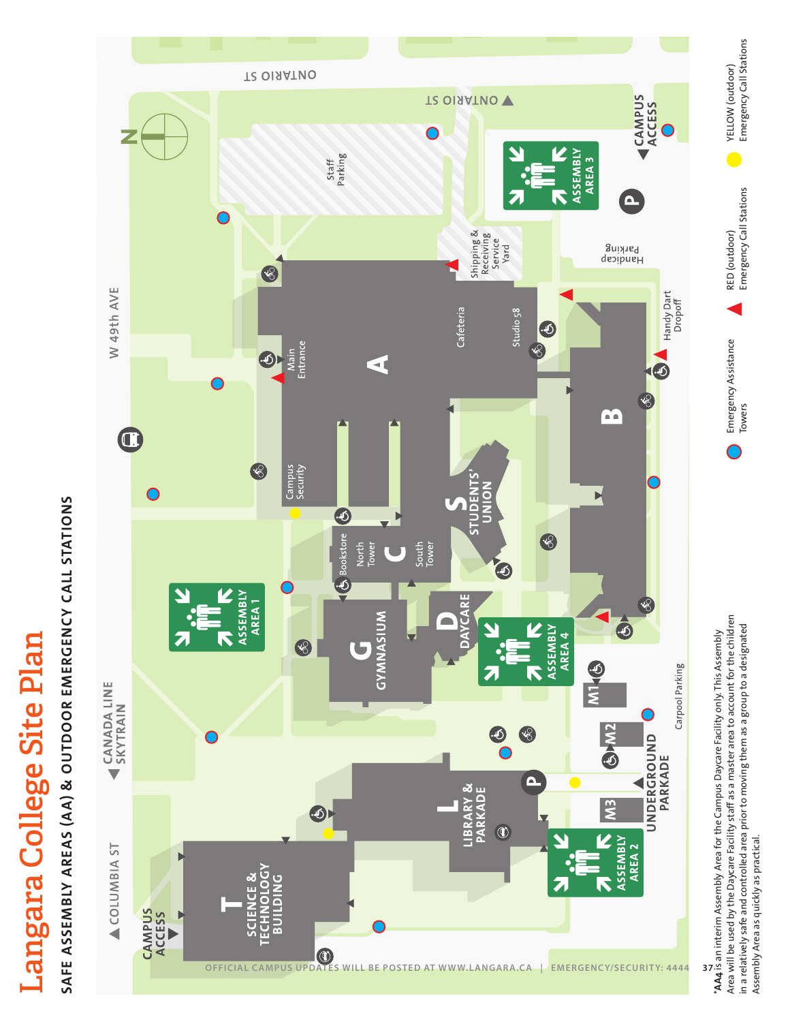# Langara College Site Plan **Langara College Site Plan**

# SAFE ASSEMBLY AREAS (AA) & OUTDOOR EMERGENCY CALL STATIONS **SAFE ASSEMBLY AREAS (AA) & OUTDOOR EMERGENCY CALL STATIONS**



Area will be used by the Daycare Facility staff as a master area to account for the children Area will be used by the Daycare Facility staff as a master area to account for the children in a relatively safe and controlled area prior to moving them as a group to a designated in a relatively safe and controlled area prior to moving them as a group to a designated \***AA4** is an interim Assembly Area for the Campus Daycare Facility only. This Assembly Assembly Area as quickly as practical. Assembly Area as quickly as practical.

Emergency Assistance

Emergency Assistance

RED (outdoor) Emergency Call Stations

RED (outdoor)

Emergency Call Stations

YELLOW (outdoor) Emergency Call Stations

 $\bullet$ 

Emergency Call Stations YELLOW (outdoor)

Towers